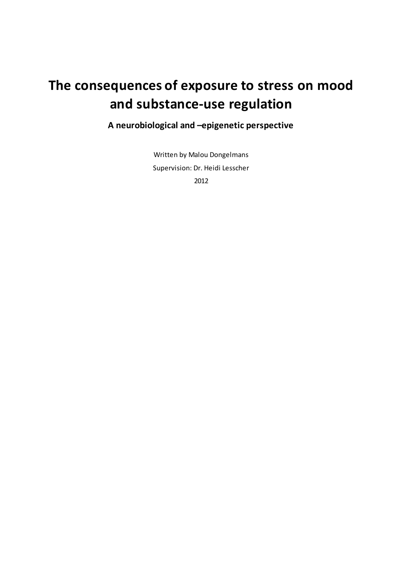# **The consequences of exposure to stress on mood and substance-use regulation**

**A neurobiological and –epigenetic perspective**

Written by Malou Dongelmans Supervision: Dr. Heidi Lesscher 2012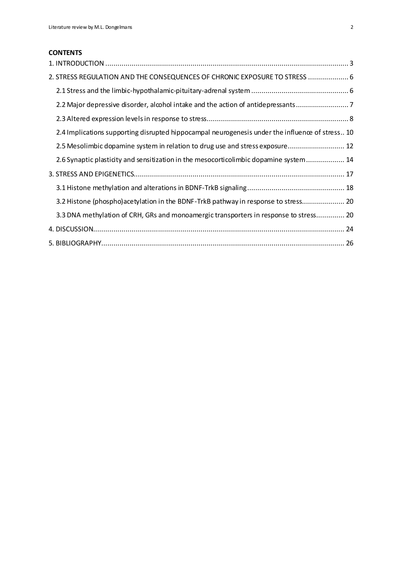# **CONTENTS**

| 2. STRESS REGULATION AND THE CONSEQUENCES OF CHRONIC EXPOSURE TO STRESS  6                      |  |
|-------------------------------------------------------------------------------------------------|--|
|                                                                                                 |  |
| 2.2 Major depressive disorder, alcohol intake and the action of antidepressants                 |  |
|                                                                                                 |  |
| 2.4 Implications supporting disrupted hippocampal neurogenesis under the influence of stress 10 |  |
| 2.5 Mesolimbic dopamine system in relation to drug use and stress exposure 12                   |  |
| 2.6 Synaptic plasticity and sensitization in the mesocorticolimbic dopamine system 14           |  |
|                                                                                                 |  |
|                                                                                                 |  |
| 3.2 Histone (phospho)acetylation in the BDNF-TrkB pathway in response to stress 20              |  |
| 3.3 DNA methylation of CRH, GRs and monoamergic transporters in response to stress 20           |  |
|                                                                                                 |  |
|                                                                                                 |  |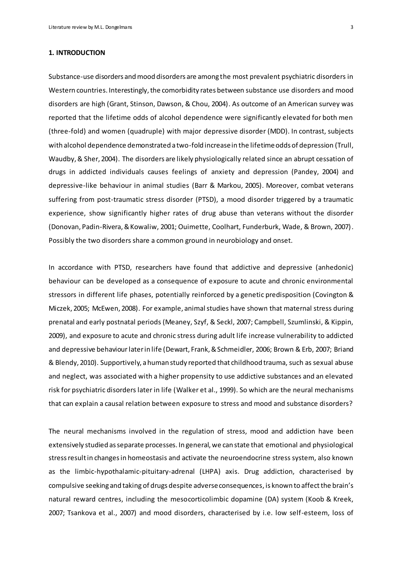#### <span id="page-2-0"></span>**1. INTRODUCTION**

Substance-use disorders and mood disorders are among the most prevalent psychiatric disorders in Western countries. Interestingly, the comorbidity rates between substance use disorders and mood disorders are high (Grant, Stinson, Dawson, & Chou, 2004). As outcome of an American survey was reported that the lifetime odds of alcohol dependence were significantly elevated for both men (three-fold) and women (quadruple) with major depressive disorder (MDD). In contrast, subjects with alcohol dependence demonstrated a two-fold increase in the lifetime odds of depression (Trull, Waudby, & Sher, 2004). The disorders are likely physiologically related since an abrupt cessation of drugs in addicted individuals causes feelings of anxiety and depression (Pandey, 2004) and depressive-like behaviour in animal studies (Barr & Markou, 2005). Moreover, combat veterans suffering from post-traumatic stress disorder (PTSD), a mood disorder triggered by a traumatic experience, show significantly higher rates of drug abuse than veterans without the disorder (Donovan, Padin-Rivera, & Kowaliw, 2001; Ouimette, Coolhart, Funderburk, Wade, & Brown, 2007). Possibly the two disorders share a common ground in neurobiology and onset.

In accordance with PTSD, researchers have found that addictive and depressive (anhedonic) behaviour can be developed as a consequence of exposure to acute and chronic environmental stressors in different life phases, potentially reinforced by a genetic predisposition (Covington & Miczek, 2005; McEwen, 2008). For example, animal studies have shown that maternal stress during prenatal and early postnatal periods (Meaney, Szyf, & Seckl, 2007; Campbell, Szumlinski, & Kippin, 2009), and exposure to acute and chronic stress during adult life increase vulnerability to addicted and depressive behaviourlater in life (Dewart, Frank, & Schmeidler, 2006; Brown & Erb, 2007; Briand & Blendy, 2010). Supportively, a human study reported that childhood trauma, such as sexual abuse and neglect, was associated with a higher propensity to use addictive substances and an elevated risk for psychiatric disorders later in life (Walker et al., 1999). So which are the neural mechanisms that can explain a causal relation between exposure to stress and mood and substance disorders?

The neural mechanisms involved in the regulation of stress, mood and addiction have been extensively studied as separate processes. In general, we can state that emotional and physiological stressresult in changes in homeostasis and activate the neuroendocrine stress system, also known as the limbic-hypothalamic-pituitary-adrenal (LHPA) axis. Drug addiction, characterised by compulsive seeking and taking of drugs despite adverse consequences, is known to affect the brain's natural reward centres, including the mesocorticolimbic dopamine (DA) system (Koob & Kreek, 2007; Tsankova et al., 2007) and mood disorders, characterised by i.e. low self-esteem, loss of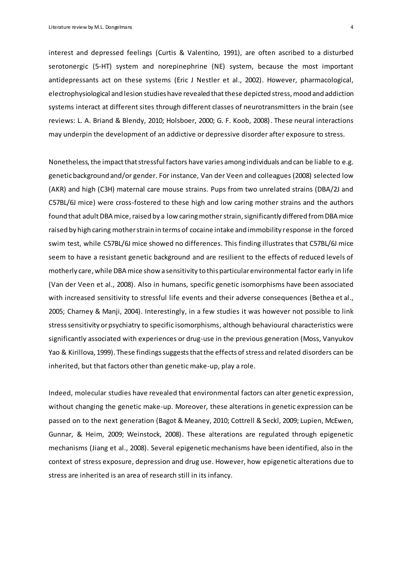interest and depressed feelings (Curtis & Valentino, 1991), are often ascribed to a disturbed serotonergic (5-HT) system and norepinephrine (NE) system, because the most important antidepressants act on these systems (Eric J Nestler et al., 2002). However, pharmacological, electrophysiological and lesion studies have revealed that these depicted stress, mood and addiction systems interact at different sites through different classes of neurotransmitters in the brain (see reviews: L. A. Briand & Blendy, 2010; Holsboer, 2000; G. F. Koob, 2008). These neural interactions may underpin the development of an addictive or depressive disorder after exposure to stress.

Nonetheless, the impact that stressful factors have varies among individuals and can be liable to e.g. genetic background and/or gender. For instance, Van der Veen and colleagues (2008) selected low (AKR) and high (C3H) maternal care mouse strains. Pups from two unrelated strains (DBA/2J and C57BL/6J mice) were cross-fostered to these high and low caring mother strains and the authors found that adult DBA mice, raised by a low caring mother strain, significantly differed from DBA mice raised by high caring mother strain in terms of cocaine intake and immobility response in the forced swim test, while C57BL/6J mice showed no differences. This finding illustrates that C57BL/6J mice seem to have a resistant genetic background and are resilient to the effects of reduced levels of motherly care, while DBA mice show a sensitivity to this particular environmental factor early in life (Van der Veen et al., 2008). Also in humans, specific genetic isomorphisms have been associated with increased sensitivity to stressful life events and their adverse consequences (Bethea et al., 2005; Charney & Manji, 2004). Interestingly, in a few studies it was however not possible to link stresssensitivity or psychiatry to specific isomorphisms, although behavioural characteristics were significantly associated with experiences or drug-use in the previous generation (Moss, Vanyukov Yao & Kirillova, 1999). These findings suggests that the effects of stress and related disorders can be inherited, but that factors other than genetic make-up, play a role.

Indeed, molecular studies have revealed that environmental factors can alter genetic expression, without changing the genetic make-up. Moreover, these alterations in genetic expression can be passed on to the next generation (Bagot & Meaney, 2010; Cottrell & Seckl, 2009; Lupien, McEwen, Gunnar, & Heim, 2009; Weinstock, 2008). These alterations are regulated through epigenetic mechanisms (Jiang et al., 2008). Several epigenetic mechanisms have been identified, also in the context of stress exposure, depression and drug use. However, how epigenetic alterations due to stress are inherited is an area of research still in its infancy.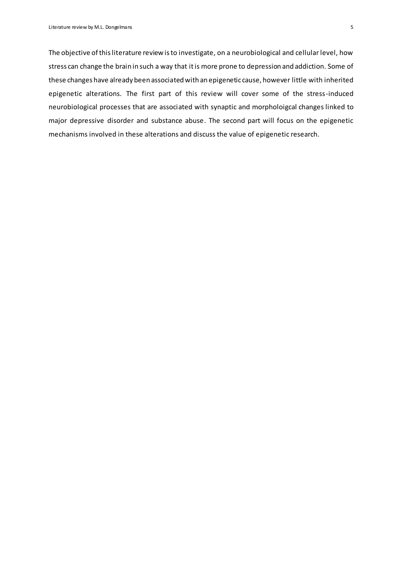The objective of this literature review is to investigate, on a neurobiological and cellular level, how stress can change the brain in such a way that it is more prone to depression and addiction. Some of these changes have already been associated with an epigenetic cause, however little with inherited epigenetic alterations. The first part of this review will cover some of the stress-induced neurobiological processes that are associated with synaptic and morpholoigcal changes linked to major depressive disorder and substance abuse. The second part will focus on the epigenetic mechanisms involved in these alterations and discuss the value of epigenetic research.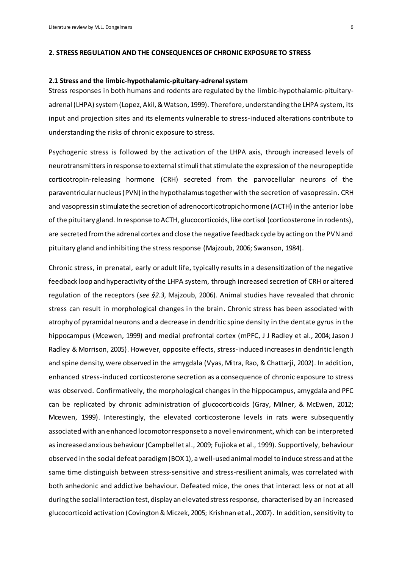# <span id="page-5-0"></span>**2. STRESS REGULATION AND THE CONSEQUENCES OF CHRONIC EXPOSURE TO STRESS**

# <span id="page-5-1"></span>**2.1 Stress and the limbic-hypothalamic-pituitary-adrenal system**

Stress responses in both humans and rodents are regulated by the limbic-hypothalamic-pituitaryadrenal (LHPA) system(Lopez, Akil, & Watson, 1999). Therefore, understanding the LHPA system, its input and projection sites and its elements vulnerable to stress-induced alterations contribute to understanding the risks of chronic exposure to stress.

Psychogenic stress is followed by the activation of the LHPA axis, through increased levels of neurotransmittersin response to external stimulithat stimulate the expression of the neuropeptide corticotropin-releasing hormone (CRH) secreted from the parvocellular neurons of the paraventricular nucleus (PVN) in the hypothalamus together with the secretion of vasopressin. CRH and vasopressin stimulate the secretion of adrenocorticotropic hormone (ACTH) in the anterior lobe of the pituitary gland. In response to ACTH, glucocorticoids, like cortisol (corticosterone in rodents), are secreted from the adrenal cortex and close the negative feedback cycle by acting on the PVN and pituitary gland and inhibiting the stress response (Majzoub, 2006; Swanson, 1984).

Chronic stress, in prenatal, early or adult life, typically results in a desensitization of the negative feedback loop and hyperactivity of the LHPA system, through increased secretion of CRH or altered regulation of the receptors (*see §2.3*, Majzoub, 2006). Animal studies have revealed that chronic stress can result in morphological changes in the brain. Chronic stress has been associated with atrophy of pyramidal neurons and a decrease in dendritic spine density in the dentate gyrus in the hippocampus (Mcewen, 1999) and medial prefrontal cortex (mPFC, J J Radley et al., 2004; Jason J Radley & Morrison, 2005). However, opposite effects, stress-induced increases in dendritic length and spine density, were observed in the amygdala (Vyas, Mitra, Rao, & Chattarji, 2002). In addition, enhanced stress-induced corticosterone secretion as a consequence of chronic exposure to stress was observed. Confirmatively, the morphological changes in the hippocampus, amygdala and PFC can be replicated by chronic administration of glucocorticoids (Gray, Milner, & McEwen, 2012; Mcewen, 1999). Interestingly, the elevated corticosterone levels in rats were subsequently associated with an enhanced locomotor response to a novel environment, which can be interpreted as increased anxious behaviour(Campbell et al., 2009; Fujioka et al., 1999). Supportively, behaviour observed in the social defeat paradigm (BOX 1), a well-used animal model to induce stress and at the same time distinguish between stress-sensitive and stress-resilient animals, was correlated with both anhedonic and addictive behaviour. Defeated mice, the ones that interact less or not at all during the social interaction test, display an elevated stress response, characterised by an increased glucocorticoid activation (Covington & Miczek, 2005; Krishnan et al., 2007). In addition, sensitivity to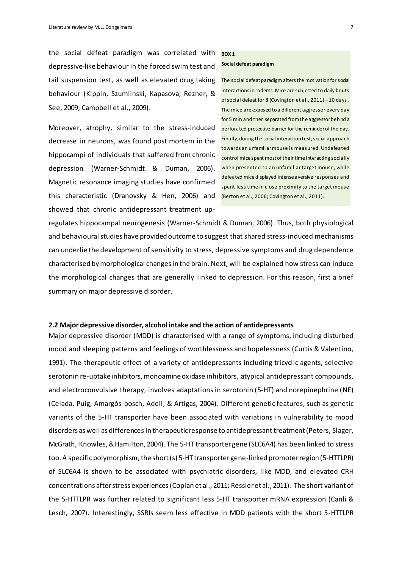the social defeat paradigm was correlated with depressive-like behaviour in the forced swim test and tail suspension test, as well as elevated drug taking behaviour (Kippin, Szumlinski, Kapasova, Rezner, & See, 2009; Campbell et al., 2009).

Moreover, atrophy, similar to the stress-induced decrease in neurons, was found post mortem in the hippocampi of individuals that suffered from chronic depression (Warner-Schmidt & Duman, 2006). Magnetic resonance imaging studies have confirmed this characteristic (Dranovsky & Hen, 2006) and showed that chronic antidepressant treatment up-

# **BOX 1**

# **Social defeat paradigm**

The social defeat paradigm alters the motivation for social interactions in rodents. Mice are subjected to daily bouts of social defeat for 8 (Covington et al., 2011) – 10 days . The mice are exposed to a different aggressor every day for 5 min and then separated from the aggressor behind a perforated protective barrier for the reminder of the day. Finally,during the social interaction test, social approach towards an unfamiliar mouse is measured. Undefeated control mice spent most of their time interacting socially when presented to an unfamiliar target mouse, while defeated mice displayed intense aversive responses and spent less time in close proximity to the target mouse (Berton et al., 2006; Covington et al., 2011).

regulates hippocampal neurogenesis (Warner-Schmidt & Duman, 2006). Thus, both physiological and behavioural studies have provided outcome to suggest that shared stress-induced mechanisms can underlie the development of sensitivity to stress, depressive symptoms and drug dependence characterised by morphological changes in the brain. Next, will be explained how stress can induce the morphological changes that are generally linked to depression. For this reason, first a brief summary on major depressive disorder.

# <span id="page-6-0"></span>**2.2 Major depressive disorder, alcohol intake and the action of antidepressants**

Major depressive disorder (MDD) is characterised with a range of symptoms, including disturbed mood and sleeping patterns and feelings of worthlessness and hopelessness (Curtis & Valentino, 1991). The therapeutic effect of a variety of antidepressants including tricyclic agents, selective serotonin re-uptake inhibitors, monoamine oxidase inhibitors, atypical antidepressant compounds, and electroconvulsive therapy, involves adaptations in serotonin (5-HT) and norepinephrine (NE) (Celada, Puig, Amargós-bosch, Adell, & Artigas, 2004). Different genetic features, such as genetic variants of the 5-HT transporter have been associated with variations in vulnerability to mood disorders as well as differences in therapeutic response to antidepressant treatment (Peters, Slager, McGrath, Knowles, & Hamilton, 2004). The 5-HT transporter gene (SLC6A4) has been linked to stress too. A specific polymorphism, the short (s) 5-HT transporter gene-linked promoter region (5-HTTLPR) of SLC6A4 is shown to be associated with psychiatric disorders, like MDD, and elevated CRH concentrations after stress experiences (Coplan et al., 2011; Ressler et al., 2011). The short variant of the 5-HTTLPR was further related to significant less 5-HT transporter mRNA expression (Canli & Lesch, 2007). Interestingly, SSRIs seem less effective in MDD patients with the short 5-HTTLPR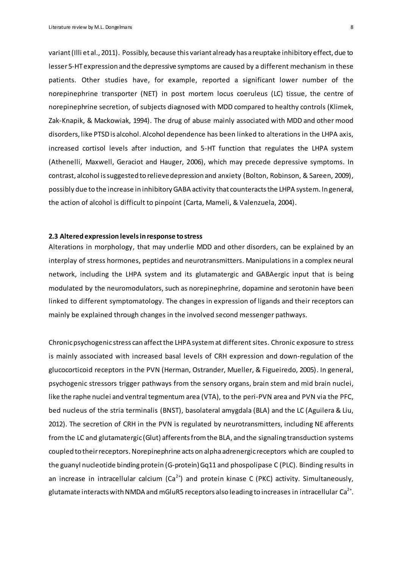variant (Illi et al., 2011). Possibly, because this variant already has a reuptake inhibitory effect, due to lesser 5-HT expression and the depressive symptoms are caused by a different mechanism in these patients. Other studies have, for example, reported a significant lower number of the norepinephrine transporter (NET) in post mortem locus coeruleus (LC) tissue, the centre of norepinephrine secretion, of subjects diagnosed with MDD compared to healthy controls (Klimek, Zak-Knapik, & Mackowiak, 1994). The drug of abuse mainly associated with MDD and other mood disorders, like PTSD is alcohol. Alcohol dependence has been linked to alterations in the LHPA axis, increased cortisol levels after induction, and 5-HT function that regulates the LHPA system (Athenelli, Maxwell, Geraciot and Hauger, 2006), which may precede depressive symptoms. In contrast, alcohol is suggested to relieve depression and anxiety (Bolton, Robinson, & Sareen, 2009), possibly due to the increase in inhibitory GABA activity that counteracts the LHPA system. In general, the action of alcohol is difficult to pinpoint (Carta, Mameli, & Valenzuela, 2004).

# <span id="page-7-0"></span>**2.3 Altered expression levels in response to stress**

Alterations in morphology, that may underlie MDD and other disorders, can be explained by an interplay of stress hormones, peptides and neurotransmitters. Manipulations in a complex neural network, including the LHPA system and its glutamatergic and GABAergic input that is being modulated by the neuromodulators, such as norepinephrine, dopamine and serotonin have been linked to different symptomatology. The changes in expression of ligands and their receptors can mainly be explained through changes in the involved second messenger pathways.

Chronic psychogenic stress can affect the LHPA system at different sites. Chronic exposure to stress is mainly associated with increased basal levels of CRH expression and down-regulation of the glucocorticoid receptors in the PVN (Herman, Ostrander, Mueller, & Figueiredo, 2005). In general, psychogenic stressors trigger pathways from the sensory organs, brain stem and mid brain nuclei, like the raphe nuclei and ventral tegmentum area (VTA), to the peri-PVN area and PVN via the PFC, bed nucleus of the stria terminalis (BNST), basolateral amygdala (BLA) and the LC (Aguilera & Liu, 2012). The secretion of CRH in the PVN is regulated by neurotransmitters, including NE afferents from the LC and glutamatergic (Glut) afferents from the BLA, and the signaling transduction systems coupled to their receptors. Norepinephrine acts on alpha adrenergic receptors which are coupled to the guanyl nucleotide binding protein (G-protein) Gq11 and phospolipase C (PLC). Binding results in an increase in intracellular calcium  $(Ca^{2+})$  and protein kinase C (PKC) activity. Simultaneously, glutamate interacts with NMDA and mGluR5 receptors also leading to increases in intracellular Ca $^{2+}\!$ .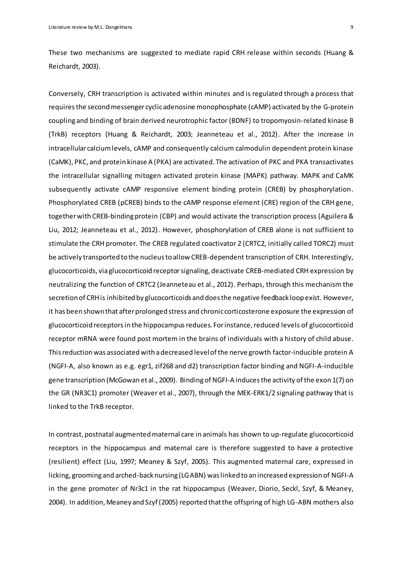These two mechanisms are suggested to mediate rapid CRH release within seconds (Huang & Reichardt, 2003).

Conversely, CRH transcription is activated within minutes and is regulated through a process that requires the second messenger cyclicadenosine monophosphate (cAMP) activated by the G-protein coupling and binding of brain derived neurotrophic factor (BDNF) to tropomyosin-related kinase B (TrkB) receptors (Huang & Reichardt, 2003; Jeanneteau et al., 2012). After the increase in intracellular calcium levels, cAMP and consequently calcium calmodulin dependent protein kinase (CaMK), PKC, and protein kinase A (PKA) are activated. The activation of PKC and PKA transactivates the intracellular signalling mitogen activated protein kinase (MAPK) pathway. MAPK and CaMK subsequently activate cAMP responsive element binding protein (CREB) by phosphorylation. Phosphorylated CREB (pCREB) binds to the cAMP response element (CRE) region of the CRH gene, together with CREB-binding protein (CBP) and would activate the transcription process (Aguilera & Liu, 2012; Jeanneteau et al., 2012). However, phosphorylation of CREB alone is not sufficient to stimulate the CRH promoter. The CREB regulated coactivator 2 (CRTC2, initially called TORC2) must be actively transported to the nucleus to allow CREB-dependent transcription of CRH. Interestingly, glucocorticoids, via glucocorticoid receptorsignaling, deactivate CREB-mediated CRH expression by neutralizing the function of CRTC2 (Jeanneteau et al., 2012). Perhaps, through this mechanism the secretion of CRH is inhibited by glucocorticoids and does the negative feedback loop exist. However, it has been shown that after prolonged stress and chronic corticosterone exposure the expression of glucocorticoid receptorsin the hippocampusreduces. For instance, reduced levels of glucocorticoid receptor mRNA were found post mortem in the brains of individuals with a history of child abuse. This reduction was associated with a decreased level of the nerve growth factor-inducible protein A (NGFI-A, also known as e.g. egr1, zif268 and d2) transcription factor binding and NGFI-A-inducible gene transcription (McGowan et al., 2009). Binding of NGFI-A induces the activity of the exon 1(7) on the GR (NR3C1) promoter (Weaver et al., 2007), through the MEK-ERK1/2 signaling pathway that is linked to the TrkB receptor.

In contrast, postnatal augmented maternal care in animals has shown to up-regulate glucocorticoid receptors in the hippocampus and maternal care is therefore suggested to have a protective (resilient) effect (Liu, 1997; Meaney & Szyf, 2005). This augmented maternal care, expressed in licking, grooming and arched-back nursing (LG ABN) was linked to an increased expression of NGFI-A in the gene promoter of Nr3c1 in the rat hippocampus (Weaver, Diorio, Seckl, Szyf, & Meaney, 2004). In addition, Meaney and Szyf (2005) reported that the offspring of high LG-ABN mothers also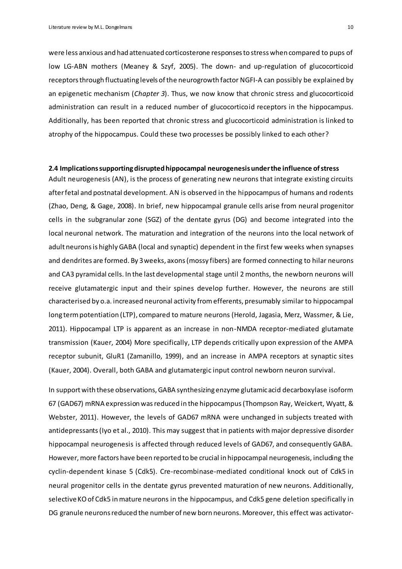were less anxious and had attenuated corticosterone responses to stress when compared to pups of low LG-ABN mothers (Meaney & Szyf, 2005). The down- and up-regulation of glucocorticoid receptors through fluctuating levels of the neurogrowth factor NGFI-A can possibly be explained by an epigenetic mechanism (*Chapter 3*). Thus, we now know that chronic stress and glucocorticoid administration can result in a reduced number of glucocorticoid receptors in the hippocampus. Additionally, has been reported that chronic stress and glucocorticoid administration is linked to atrophy of the hippocampus. Could these two processes be possibly linked to each other?

# <span id="page-9-0"></span>**2.4 Implications supporting disrupted hippocampal neurogenesis under the influence of stress**

Adult neurogenesis (AN), is the process of generating new neurons that integrate existing circuits after fetal and postnatal development. AN is observed in the hippocampus of humans and rodents (Zhao, Deng, & Gage, 2008). In brief, new hippocampal granule cells arise from neural progenitor cells in the subgranular zone (SGZ) of the dentate gyrus (DG) and become integrated into the local neuronal network. The maturation and integration of the neurons into the local network of adult neuronsis highlyGABA (local and synaptic) dependent in the first few weeks when synapses and dendrites are formed. By 3weeks, axons(mossy fibers) are formed connecting to hilar neurons and CA3 pyramidal cells. In the last developmental stage until 2 months, the newborn neurons will receive glutamatergic input and their spines develop further. However, the neurons are still characterised by o.a. increased neuronal activity fromefferents, presumably similar to hippocampal long termpotentiation (LTP), compared to mature neurons (Herold, Jagasia, Merz, Wassmer, & Lie, 2011). Hippocampal LTP is apparent as an increase in non-NMDA receptor-mediated glutamate transmission (Kauer, 2004) More specifically, LTP depends critically upon expression of the AMPA receptor subunit, GluR1 (Zamanillo, 1999), and an increase in AMPA receptors at synaptic sites (Kauer, 2004). Overall, both GABA and glutamatergic input control newborn neuron survival.

In support with these observations, GABA synthesizing enzyme glutamic acid decarboxylase isoform 67 (GAD67) mRNA expression wasreduced in the hippocampus(Thompson Ray, Weickert, Wyatt, & Webster, 2011). However, the levels of GAD67 mRNA were unchanged in subjects treated with antidepressants (Iyo et al., 2010). This may suggest that in patients with major depressive disorder hippocampal neurogenesis is affected through reduced levels of GAD67, and consequently GABA. However, more factors have been reported to be crucial in hippocampal neurogenesis, including the cyclin-dependent kinase 5 (Cdk5). Cre-recombinase-mediated conditional knock out of Cdk5 in neural progenitor cells in the dentate gyrus prevented maturation of new neurons. Additionally, selective KO of Cdk5 in mature neurons in the hippocampus, and Cdk5 gene deletion specifically in DG granule neurons reduced the number of new born neurons. Moreover, this effect was activator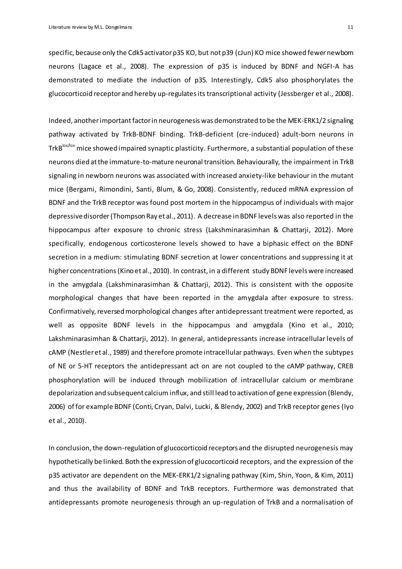specific, because only the Cdk5 activator p35 KO, but not p39 (cJun) KO mice showed fewer newbom neurons (Lagace et al., 2008). The expression of p35 is induced by BDNF and NGFI-A has demonstrated to mediate the induction of p35. Interestingly, Cdk5 also phosphorylates the glucocorticoid receptor and hereby up-regulatesits transcriptional activity (Jessberger et al., 2008).

Indeed, anotherimportantfactorin neurogenesis was demonstrated to be the MEK-ERK1/2 signaling pathway activated by TrkB-BDNF binding. TrkB-deficient (cre-induced) adult-born neurons in TrkB<sup>lox/lox</sup> mice showed impaired synaptic plasticity. Furthermore, a substantial population of these neurons died atthe immature-to-mature neuronal transition. Behaviourally, the impairment in TrkB signaling in newborn neurons was associated with increased anxiety-like behaviour in the mutant mice (Bergami, Rimondini, Santi, Blum, & Go, 2008). Consistently, reduced mRNA expression of BDNF and the TrkB receptor was found post mortem in the hippocampus of individuals with major depressive disorder(Thompson Ray et al., 2011). A decrease in BDNF levels was also reported in the hippocampus after exposure to chronic stress (Lakshminarasimhan & Chattarji, 2012). More specifically, endogenous corticosterone levels showed to have a biphasic effect on the BDNF secretion in a medium: stimulating BDNF secretion at lower concentrations and suppressing it at higher concentrations (Kino et al., 2010). In contrast, in a different study BDNF levels were increased in the amygdala (Lakshminarasimhan & Chattarji, 2012). This is consistent with the opposite morphological changes that have been reported in the amygdala after exposure to stress. Confirmatively, reversed morphological changes after antidepressant treatment were reported, as well as opposite BDNF levels in the hippocampus and amygdala (Kino et al., 2010; Lakshminarasimhan & Chattarji, 2012). In general, antidepressants increase intracellular levels of cAMP (Nestler et al., 1989) and therefore promote intracellular pathways. Even when the subtypes of NE or 5-HT receptors the antidepressant act on are not coupled to the cAMP pathway, CREB phosphorylation will be induced through mobilization of intracellular calcium or membrane depolarization and subsequent calcium influx, and still lead to activation of gene expression (Blendy, 2006) of for example BDNF (Conti, Cryan, Dalvi, Lucki, & Blendy, 2002) and TrkB receptor genes (Iyo et al., 2010).

In conclusion, the down-regulation of glucocorticoid receptors and the disrupted neurogenesis may hypothetically be linked. Both the expression of glucocorticoid receptors, and the expression of the p35 activator are dependent on the MEK-ERK1/2 signaling pathway (Kim, Shin, Yoon, & Kim, 2011) and thus the availability of BDNF and TrkB receptors. Furthermore was demonstrated that antidepressants promote neurogenesis through an up-regulation of TrkB and a normalisation of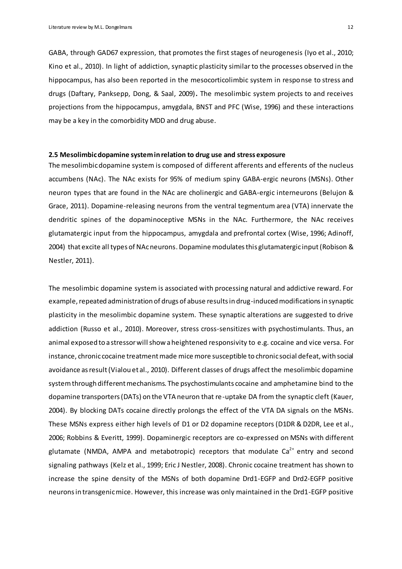GABA, through GAD67 expression, that promotes the first stages of neurogenesis (Iyo et al., 2010; Kino et al., 2010). In light of addiction, synaptic plasticity similar to the processes observed in the hippocampus, has also been reported in the mesocorticolimbic system in response to stress and drugs (Daftary, Panksepp, Dong, & Saal, 2009)**.** The mesolimbic system projects to and receives projections from the hippocampus, amygdala, BNST and PFC (Wise, 1996) and these interactions may be a key in the comorbidity MDD and drug abuse.

# <span id="page-11-0"></span>**2.5 Mesolimbic dopamine system in relation to drug use and stress exposure**

The mesolimbic dopamine system is composed of different afferents and efferents of the nucleus accumbens (NAc). The NAc exists for 95% of medium spiny GABA-ergic neurons (MSNs). Other neuron types that are found in the NAc are cholinergic and GABA-ergic interneurons (Belujon & Grace, 2011). Dopamine-releasing neurons from the ventral tegmentum area (VTA) innervate the dendritic spines of the dopaminoceptive MSNs in the NAc. Furthermore, the NAc receives glutamatergic input from the hippocampus, amygdala and prefrontal cortex (Wise, 1996; Adinoff, 2004) that excite all types of NAc neurons. Dopamine modulates this glutamatergic input(Robison & Nestler, 2011).

The mesolimbic dopamine system is associated with processing natural and addictive reward. For example, repeated administration of drugs of abuse results in drug-induced modifications in synaptic plasticity in the mesolimbic dopamine system. These synaptic alterations are suggested to drive addiction (Russo et al., 2010). Moreover, stress cross-sensitizes with psychostimulants. Thus, an animal exposed to a stressor will show a heightened responsivity to e.g. cocaine and vice versa. For instance, chronic cocaine treatment made mice more susceptible to chronic social defeat, with social avoidance as result (Vialou et al., 2010). Different classes of drugs affect the mesolimbic dopamine system through different mechanisms. The psychostimulants cocaine and amphetamine bind to the dopamine transporters (DATs) on the VTA neuron that re-uptake DA from the synaptic cleft (Kauer, 2004). By blocking DATs cocaine directly prolongs the effect of the VTA DA signals on the MSNs. These MSNs express either high levels of D1 or D2 dopamine receptors (D1DR & D2DR, Lee et al., 2006; Robbins & Everitt, 1999). Dopaminergic receptors are co-expressed on MSNs with different glutamate (NMDA, AMPA and metabotropic) receptors that modulate  $Ca<sup>2+</sup>$  entry and second signaling pathways (Kelz et al., 1999; Eric J Nestler, 2008). Chronic cocaine treatment has shown to increase the spine density of the MSNs of both dopamine Drd1-EGFP and Drd2-EGFP positive neurons in transgenic mice. However, this increase was only maintained in the Drd1-EGFP positive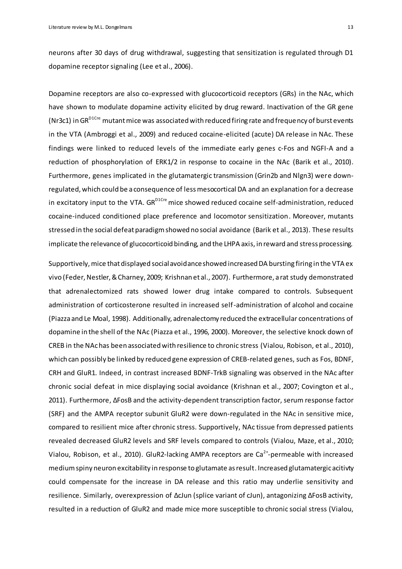neurons after 30 days of drug withdrawal, suggesting that sensitization is regulated through D1 dopamine receptor signaling (Lee et al., 2006).

Dopamine receptors are also co-expressed with glucocorticoid receptors (GRs) in the NAc, which have shown to modulate dopamine activity elicited by drug reward. Inactivation of the GR gene (Nr3c1) in GR<sup>D1Cre</sup> mutant mice was associated with reduced firing rate and frequency of burst events in the VTA (Ambroggi et al., 2009) and reduced cocaine-elicited (acute) DA release in NAc. These findings were linked to reduced levels of the immediate early genes c-Fos and NGFI-A and a reduction of phosphorylation of ERK1/2 in response to cocaine in the NAc (Barik et al., 2010). Furthermore, genes implicated in the glutamatergic transmission (Grin2b and Nlgn3) were downregulated, which could be a consequence of less mesocortical DA and an explanation for a decrease in excitatory input to the VTA.  $GR^{D1Cre}$  mice showed reduced cocaine self-administration, reduced cocaine-induced conditioned place preference and locomotor sensitization. Moreover, mutants stressed in the social defeat paradigm showed no social avoidance (Barik et al., 2013). These results implicate the relevance of glucocorticoid binding, and the LHPA axis, in reward and stress processing.

Supportively, mice that displayed social avoidance showed increased DA bursting firing in the VTA ex vivo (Feder, Nestler, & Charney, 2009; Krishnan et al., 2007). Furthermore, a rat study demonstrated that adrenalectomized rats showed lower drug intake compared to controls. Subsequent administration of corticosterone resulted in increased self-administration of alcohol and cocaine (Piazza and Le Moal, 1998). Additionally, adrenalectomy reduced the extracellular concentrations of dopamine in the shell of the NAc (Piazza et al., 1996, 2000). Moreover, the selective knock down of CREB in the NAc has been associated with resilience to chronic stress (Vialou, Robison, et al., 2010), which can possibly be linked by reduced gene expression of CREB-related genes, such as Fos, BDNF, CRH and GluR1. Indeed, in contrast increased BDNF-TrkB signaling was observed in the NAc after chronic social defeat in mice displaying social avoidance (Krishnan et al., 2007; Covington et al., 2011). Furthermore, ΔFosB and the activity-dependent transcription factor, serum response factor (SRF) and the AMPA receptor subunit GluR2 were down-regulated in the NAc in sensitive mice, compared to resilient mice after chronic stress. Supportively, NAc tissue from depressed patients revealed decreased GluR2 levels and SRF levels compared to controls (Vialou, Maze, et al., 2010; Vialou, Robison, et al., 2010). GluR2-lacking AMPA receptors are  $Ca^{2+}$ -permeable with increased medium spiny neuron excitability in response to glutamate as result. Increased glutamatergic acitivty could compensate for the increase in DA release and this ratio may underlie sensitivity and resilience. Similarly, overexpression of ΔcJun (splice variant of cJun), antagonizing ΔFosB activity, resulted in a reduction of GluR2 and made mice more susceptible to chronic social stress (Vialou,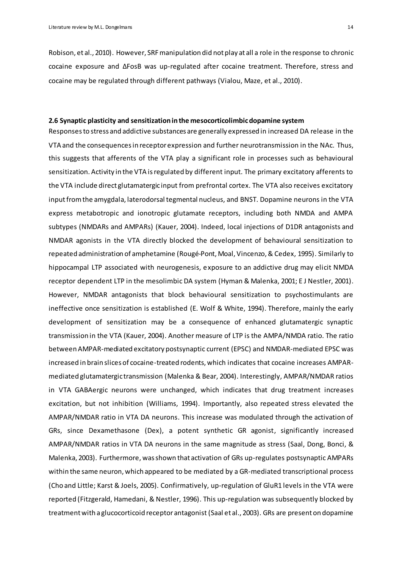Robison, et al., 2010). However, SRF manipulation did not play at all a role in the response to chronic cocaine exposure and ΔFosB was up-regulated after cocaine treatment. Therefore, stress and cocaine may be regulated through different pathways (Vialou, Maze, et al., 2010).

#### <span id="page-13-0"></span>**2.6 Synaptic plasticity and sensitization in the mesocorticolimbic dopamine system**

Responses to stress and addictive substances are generally expressed in increased DA release in the VTA and the consequences in receptor expression and further neurotransmission in the NAc. Thus, this suggests that afferents of the VTA play a significant role in processes such as behavioural sensitization. Activity in the VTA is regulated by different input. The primary excitatory afferents to the VTA include direct glutamatergic input from prefrontal cortex. The VTA also receives excitatory input from the amygdala, laterodorsal tegmental nucleus, and BNST. Dopamine neurons in the VTA express metabotropic and ionotropic glutamate receptors, including both NMDA and AMPA subtypes (NMDARs and AMPARs) (Kauer, 2004). Indeed, local injections of D1DR antagonists and NMDAR agonists in the VTA directly blocked the development of behavioural sensitization to repeated administration of amphetamine (Rougé-Pont, Moal, Vincenzo, & Cedex, 1995). Similarly to hippocampal LTP associated with neurogenesis, exposure to an addictive drug may elicit NMDA receptor dependent LTP in the mesolimbic DA system (Hyman & Malenka, 2001; E J Nestler, 2001). However, NMDAR antagonists that block behavioural sensitization to psychostimulants are ineffective once sensitization is established (E. Wolf & White, 1994). Therefore, mainly the early development of sensitization may be a consequence of enhanced glutamatergic synaptic transmission in the VTA (Kauer, 2004). Another measure of LTP is the AMPA/NMDA ratio. The ratio between AMPAR-mediated excitatory postsynaptic current (EPSC) and NMDAR-mediated EPSC was increased in brain slices of cocaine-treated rodents, which indicates that cocaine increases AMPARmediated glutamatergic transmission (Malenka & Bear, 2004). Interestingly, AMPAR/NMDAR ratios in VTA GABAergic neurons were unchanged, which indicates that drug treatment increases excitation, but not inhibition (Williams, 1994). Importantly, also repeated stress elevated the AMPAR/NMDAR ratio in VTA DA neurons. This increase was modulated through the activation of GRs, since Dexamethasone (Dex), a potent synthetic GR agonist, significantly increased AMPAR/NMDAR ratios in VTA DA neurons in the same magnitude as stress (Saal, Dong, Bonci, & Malenka, 2003). Furthermore, was shown that activation of GRs up-regulates postsynaptic AMPARs within the same neuron, which appeared to be mediated by a GR-mediated transcriptional process (Cho and Little; Karst & Joels, 2005). Confirmatively, up-regulation of GluR1 levels in the VTA were reported (Fitzgerald, Hamedani, & Nestler, 1996). This up-regulation was subsequently blocked by treatment with a glucocorticoid receptor antagonist (Saal et al., 2003). GRs are present on dopamine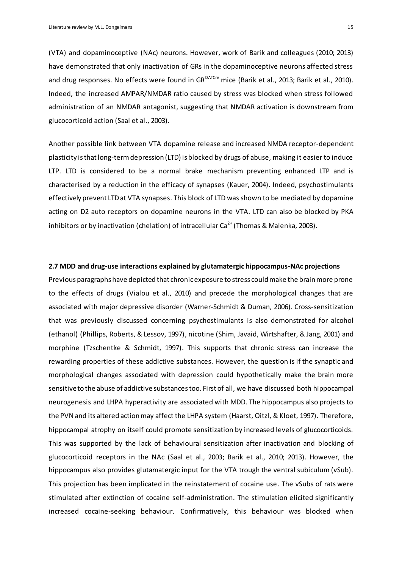(VTA) and dopaminoceptive (NAc) neurons. However, work of Barik and colleagues (2010; 2013) have demonstrated that only inactivation of GRs in the dopaminoceptive neurons affected stress and drug responses. No effects were found in GR<sup>DATCre</sup> mice (Barik et al., 2013; Barik et al., 2010). Indeed, the increased AMPAR/NMDAR ratio caused by stress was blocked when stress followed administration of an NMDAR antagonist, suggesting that NMDAR activation is downstream from glucocorticoid action (Saal et al., 2003).

Another possible link between VTA dopamine release and increased NMDA receptor-dependent plasticity is that long-term depression (LTD) is blocked by drugs of abuse, making it easier to induce LTP. LTD is considered to be a normal brake mechanism preventing enhanced LTP and is characterised by a reduction in the efficacy of synapses (Kauer, 2004). Indeed, psychostimulants effectively prevent LTD at VTA synapses. This block of LTD was shown to be mediated by dopamine acting on D2 auto receptors on dopamine neurons in the VTA. LTD can also be blocked by PKA inhibitors or by inactivation (chelation) of intracellular  $Ca^{2+}$  (Thomas & Malenka, 2003).

# **2.7 MDD and drug-use interactions explained by glutamatergic hippocampus-NAc projections**

Previous paragraphs have depicted that chronic exposure to stress could make the brain more prone to the effects of drugs (Vialou et al., 2010) and precede the morphological changes that are associated with major depressive disorder (Warner-Schmidt & Duman, 2006). Cross-sensitization that was previously discussed concerning psychostimulants is also demonstrated for alcohol (ethanol) (Phillips, Roberts, & Lessov, 1997), nicotine (Shim, Javaid, Wirtshafter, & Jang, 2001) and morphine (Tzschentke & Schmidt, 1997). This supports that chronic stress can increase the rewarding properties of these addictive substances. However, the question is if the synaptic and morphological changes associated with depression could hypothetically make the brain more sensitive to the abuse of addictive substances too. First of all, we have discussed both hippocampal neurogenesis and LHPA hyperactivity are associated with MDD. The hippocampus also projects to the PVN and its altered action may affect the LHPA system (Haarst, Oitzl, & Kloet, 1997). Therefore, hippocampal atrophy on itself could promote sensitization by increased levels of glucocorticoids. This was supported by the lack of behavioural sensitization after inactivation and blocking of glucocorticoid receptors in the NAc (Saal et al., 2003; Barik et al., 2010; 2013). However, the hippocampus also provides glutamatergic input for the VTA trough the ventral subiculum (vSub). This projection has been implicated in the reinstatement of cocaine use. The vSubs of rats were stimulated after extinction of cocaine self-administration. The stimulation elicited significantly increased cocaine-seeking behaviour. Confirmatively, this behaviour was blocked when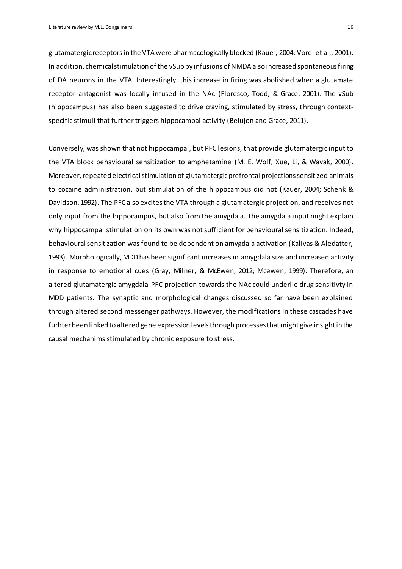glutamatergic receptors in the VTA were pharmacologically blocked (Kauer, 2004; Vorel et al., 2001). In addition, chemicalstimulation of the vSub by infusions of NMDA also increased spontaneous firing of DA neurons in the VTA. Interestingly, this increase in firing was abolished when a glutamate receptor antagonist was locally infused in the NAc (Floresco, Todd, & Grace, 2001). The vSub (hippocampus) has also been suggested to drive craving, stimulated by stress, through contextspecific stimuli that further triggers hippocampal activity (Belujon and Grace, 2011).

Conversely, was shown that not hippocampal, but PFC lesions, that provide glutamatergic input to the VTA block behavioural sensitization to amphetamine (M. E. Wolf, Xue, Li, & Wavak, 2000). Moreover, repeated electrical stimulation of glutamatergic prefrontal projectionssensitized animals to cocaine administration, but stimulation of the hippocampus did not (Kauer, 2004; Schenk & Davidson, 1992)**.** The PFC also excites the VTA through a glutamatergic projection, and receives not only input from the hippocampus, but also from the amygdala. The amygdala input might explain why hippocampal stimulation on its own was not sufficient for behavioural sensitization. Indeed, behavioural sensitization was found to be dependent on amygdala activation (Kalivas & Aledatter, 1993). Morphologically, MDD has been significant increases in amygdala size and increased activity in response to emotional cues (Gray, Milner, & McEwen, 2012; Mcewen, 1999). Therefore, an altered glutamatergic amygdala-PFC projection towards the NAc could underlie drug sensitivty in MDD patients. The synaptic and morphological changes discussed so far have been explained through altered second messenger pathways. However, the modifications in these cascades have furhter been linked to altered gene expression levels through processes that might give insight in the causal mechanims stimulated by chronic exposure to stress.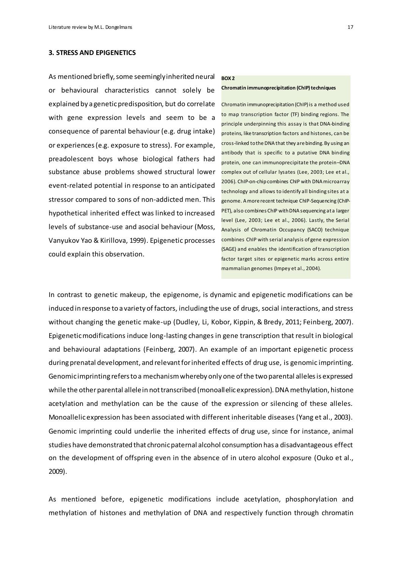# <span id="page-16-0"></span>**3. STRESS AND EPIGENETICS**

As mentioned briefly, some seemingly inherited neural or behavioural characteristics cannot solely be explained by a genetic predisposition, but do correlate with gene expression levels and seem to be a consequence of parental behaviour (e.g. drug intake) or experiences (e.g. exposure to stress). For example, preadolescent boys whose biological fathers had substance abuse problems showed structural lower event-related potential in response to an anticipated stressor compared to sons of non-addicted men. This hypothetical inherited effect was linked to increased levels of substance-use and asocial behaviour (Moss, Vanyukov Yao & Kirillova, 1999). Epigenetic processes could explain this observation.

#### **BOX 2**

#### **Chromatin immunoprecipitation (ChIP) techniques**

Chromatin immunoprecipitation (ChIP) is a method used to map transcription factor (TF) binding regions. The principle underpinning this assay is that DNA-binding proteins, like transcription factors and histones, can be cross-linked to the DNA that they are binding. By using an antibody that is specific to a putative DNA binding protein, one can immunoprecipitate the protein–DNA complex out of cellular lysates (Lee, 2003; Lee et al., 2006). ChIP-on-chip combines ChIP with DNA microarray technology and allows to identify all binding sites at a genome. A more recent technique ChIP-Sequencing (ChIP-PET), also combines ChIP with DNA sequencing at a larger level (Lee, 2003; Lee et al., 2006). Lastly, the Serial Analysis of Chromatin Occupancy (SACO) technique combines ChIP with serial analysis of gene expression (SAGE) and enables the identification of transcription factor target sites or epigenetic marks across entire mammalian genomes (Impey et al., 2004).

In contrast to genetic makeup, the epigenome, is dynamic and epigenetic modifications can be induced in response to a variety of factors, including the use of drugs, social interactions, and stress without changing the genetic make-up (Dudley, Li, Kobor, Kippin, & Bredy, 2011; Feinberg, 2007). Epigenetic modifications induce long-lasting changes in gene transcription that result in biological and behavioural adaptations (Feinberg, 2007). An example of an important epigenetic process during prenatal development, and relevant for inherited effects of drug use, is genomic imprinting. Genomic imprinting refers to a mechanism whereby only one of the two parental alleles is expressed while the other parental allele in not transcribed (monoallelic expression). DNA methylation, histone acetylation and methylation can be the cause of the expression or silencing of these alleles. Monoallelic expression has been associated with different inheritable diseases (Yang et al., 2003). Genomic imprinting could underlie the inherited effects of drug use, since for instance, animal studies have demonstrated that chronic paternal alcohol consumption has a disadvantageous effect on the development of offspring even in the absence of in utero alcohol exposure (Ouko et al., 2009).

As mentioned before, epigenetic modifications include acetylation, phosphorylation and methylation of histones and methylation of DNA and respectively function through chromatin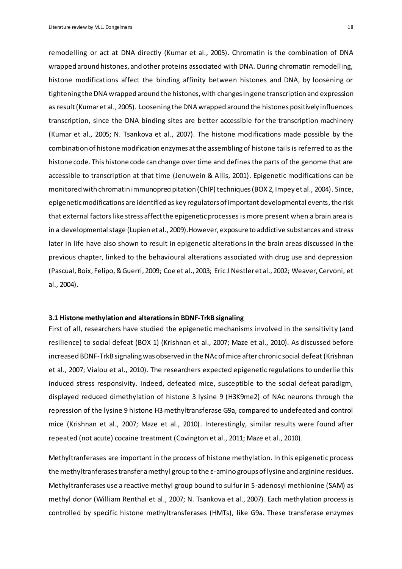remodelling or act at DNA directly (Kumar et al., 2005). Chromatin is the combination of DNA wrapped around histones, and other proteins associated with DNA. During chromatin remodelling, histone modifications affect the binding affinity between histones and DNA, by loosening or tightening the DNA wrapped around the histones, with changes in gene transcription and expression as result (Kumar et al., 2005). Loosening the DNA wrapped around the histones positively influences transcription, since the DNA binding sites are better accessible for the transcription machinery (Kumar et al., 2005; N. Tsankova et al., 2007). The histone modifications made possible by the combination of histone modification enzymes at the assembling of histone tails is referred to as the histone code*.* This histone code can change over time and defines the parts of the genome that are accessible to transcription at that time (Jenuwein & Allis, 2001). Epigenetic modifications can be monitored with chromatin immunoprecipitation (ChIP) techniques (BOX 2, Impey et al., 2004). Since, epigenetic modifications are identified as key regulators of important developmental events, the risk that external factors like stress affect the epigenetic processes is more present when a brain area is in a developmental stage (Lupien et al., 2009).However, exposure to addictive substances and stress later in life have also shown to result in epigenetic alterations in the brain areas discussed in the previous chapter, linked to the behavioural alterations associated with drug use and depression (Pascual, Boix, Felipo, & Guerri, 2009; Coe et al., 2003; Eric J Nestler et al., 2002; Weaver, Cervoni, et al., 2004).

# <span id="page-17-0"></span>**3.1 Histone methylation and alterations in BDNF-TrkB signaling**

First of all, researchers have studied the epigenetic mechanisms involved in the sensitivity (and resilience) to social defeat (BOX 1) (Krishnan et al., 2007; Maze et al., 2010). As discussed before increased BDNF-TrkBsignaling was observed in the NAcof mice after chronic social defeat (Krishnan et al., 2007; Vialou et al., 2010). The researchers expected epigenetic regulations to underlie this induced stress responsivity. Indeed, defeated mice, susceptible to the social defeat paradigm, displayed reduced dimethylation of histone 3 lysine 9 (H3K9me2) of NAc neurons through the repression of the lysine 9 histone H3methyltransferase G9a, compared to undefeated and control mice (Krishnan et al., 2007; Maze et al., 2010). Interestingly, similar results were found after repeated (not acute) cocaine treatment (Covington et al., 2011; Maze et al., 2010).

Methyltranferases are important in the process of histone methylation. In this epigenetic process the methyltranferases transfer a methyl group to the ε-amino groups of lysine and arginine residues. Methyltranferases use a reactive methyl group bound to sulfur in S-adenosyl methionine (SAM) as methyl donor (William Renthal et al., 2007; N. Tsankova et al., 2007). Each methylation process is controlled by specific histone methyltransferases (HMTs), like G9a. These transferase enzymes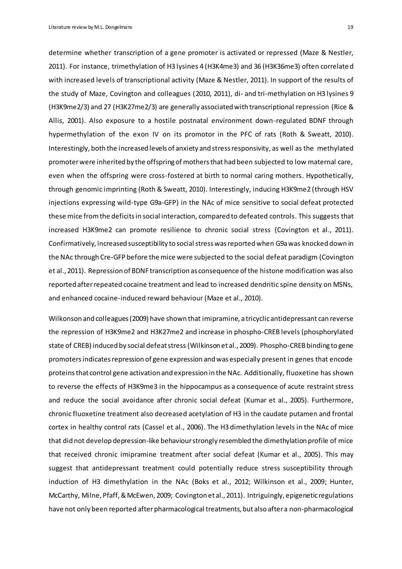Literature review by M.L. Dongelmans 19

determine whether transcription of a gene promoter is activated or repressed (Maze & Nestler, 2011). For instance, trimethylation of H3 lysines 4 (H3K4me3) and 36 (H3K36me3) often correlated with increased levels of transcriptional activity (Maze & Nestler, 2011). In support of the results of the study of Maze, Covington and colleagues (2010, 2011), di- and tri-methylation on H3 lysines 9 (H3K9me2/3) and 27 (H3K27me2/3) are generally associated with transcriptional repression (Rice & Allis, 2001). Also exposure to a hostile postnatal environment down-regulated BDNF through hypermethylation of the exon IV on its promotor in the PFC of rats (Roth & Sweatt, 2010). Interestingly, both the increased levels of anxiety and stress responsivity, as well as the methylated promoter were inherited by the offspring of mothers that had been subjected to low maternal care, even when the offspring were cross-fostered at birth to normal caring mothers. Hypothetically, through genomic imprinting (Roth & Sweatt, 2010). Interestingly, inducing H3K9me2 (through HSV injections expressing wild-type G9a-GFP) in the NAc of mice sensitive to social defeat protected these mice from the deficits in social interaction, compared to defeated controls. This suggests that increased H3K9me2 can promote resilience to chronic social stress (Covington et al., 2011). Confirmatively, increased susceptibility to social stress was reported when G9a was knocked down in the NAc through Cre-GFP before the mice were subjected to the social defeat paradigm (Covington et al., 2011). Repression of BDNF transcription as consequence of the histone modification was also reported after repeated cocaine treatment and lead to increased dendritic spine density on MSNs, and enhanced cocaine-induced reward behaviour (Maze et al., 2010).

Wilkonson and colleagues (2009) have shown that imipramine, a tricyclic antidepressant can reverse the repression of H3K9me2 and H3K27me2 and increase in phospho-CREB levels (phosphorylated state of CREB) induced by social defeat stress(Wilkinson et al., 2009). Phospho-CREB binding to gene promoters indicates repression of gene expression and was especially present in genes that encode proteins that control gene activation and expression in the NAc. Additionally, fluoxetine has shown to reverse the effects of H3K9me3 in the hippocampus as a consequence of acute restraint stress and reduce the social avoidance after chronic social defeat (Kumar et al., 2005). Furthermore, chronic fluoxetine treatment also decreased acetylation of H3 in the caudate putamen and frontal cortex in healthy control rats (Cassel et al., 2006). The H3 dimethylation levels in the NAc of mice that did not develop depression-like behaviour strongly resembled the dimethylation profile of mice that received chronic imipramine treatment after social defeat (Kumar et al., 2005). This may suggest that antidepressant treatment could potentially reduce stress susceptibility through induction of H3 dimethylation in the NAc (Boks et al., 2012; Wilkinson et al., 2009; Hunter, McCarthy, Milne, Pfaff, & McEwen, 2009; Covington et al., 2011). Intriguingly, epigenetic regulations have not only been reported afterpharmacological treatments, but also after a non-pharmacological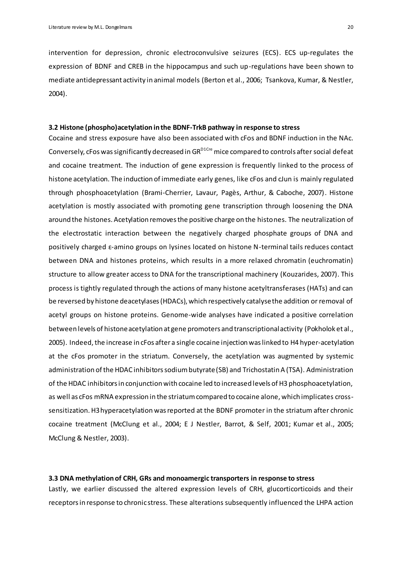intervention for depression, chronic electroconvulsive seizures (ECS). ECS up-regulates the expression of BDNF and CREB in the hippocampus and such up-regulations have been shown to mediate antidepressant activity in animal models (Berton et al., 2006; Tsankova, Kumar, & Nestler, 2004).

# <span id="page-19-0"></span>**3.2 Histone (phospho)acetylation in the BDNF-TrkB pathway in response to stress**

Cocaine and stress exposure have also been associated with cFos and BDNF induction in the NAc. Conversely, cFos was significantly decreased in GR<sup>D1Cre</sup> mice compared to controls after social defeat and cocaine treatment. The induction of gene expression is frequently linked to the process of histone acetylation. The induction of immediate early genes, like cFos and cJun is mainly regulated through phosphoacetylation (Brami-Cherrier, Lavaur, Pagès, Arthur, & Caboche, 2007). Histone acetylation is mostly associated with promoting gene transcription through loosening the DNA around the histones. Acetylation removes the positive charge on the histones. The neutralization of the electrostatic interaction between the negatively charged phosphate groups of DNA and positively charged  $\varepsilon$ -amino groups on lysines located on histone N-terminal tails reduces contact between DNA and histones proteins, which results in a more relaxed chromatin (euchromatin) structure to allow greater access to DNA for the transcriptional machinery (Kouzarides, 2007). This process is tightly regulated through the actions of many histone acetyltransferases (HATs) and can be reversed by histone deacetylases (HDACs), which respectively catalyse the addition or removal of acetyl groups on histone proteins. Genome-wide analyses have indicated a positive correlation between levels of histone acetylation at gene promoters and transcriptional activity (Pokholok et al., 2005). Indeed, the increase in cFos after a single cocaine injection was linked to H4 hyper-acetylation at the cFos promoter in the striatum. Conversely, the acetylation was augmented by systemic administration of the HDAC inhibitors sodium butyrate (SB) and Trichostatin A (TSA). Administration of the HDAC inhibitors in conjunction with cocaine led to increased levels of H3 phosphoacetylation, as well as cFos mRNA expression in the striatum compared to cocaine alone, which implicates crosssensitization. H3 hyperacetylation was reported at the BDNF promoter in the striatum after chronic cocaine treatment (McClung et al., 2004; E J Nestler, Barrot, & Self, 2001; Kumar et al., 2005; McClung & Nestler, 2003).

# <span id="page-19-1"></span>**3.3 DNA methylation of CRH, GRs and monoamergic transporters in response to stress**

Lastly, we earlier discussed the altered expression levels of CRH, glucorticorticoids and their receptors in response to chronic stress. These alterations subsequently influenced the LHPA action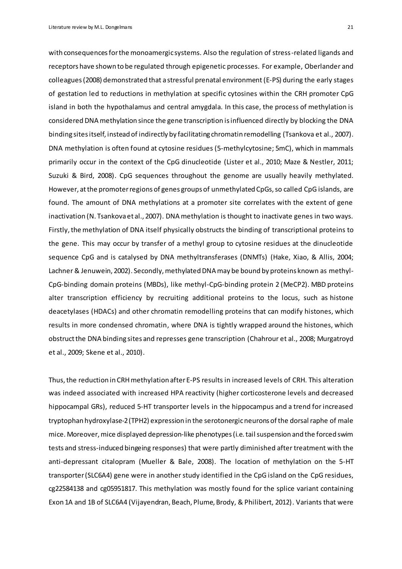with consequences for the monoamergic systems. Also the regulation of stress-related ligands and receptors have shown to be regulated through epigenetic processes. For example, Oberlander and colleagues (2008) demonstrated that a stressful prenatal environment (E-PS) during the early stages of gestation led to reductions in methylation at specific cytosines within the CRH promoter CpG island in both the hypothalamus and central amygdala. In this case, the process of methylation is considered DNA methylation since the gene transcription is influenced directly by blocking the DNA binding sites itself, instead of indirectly by facilitating chromatin remodelling (Tsankova et al., 2007). DNA methylation is often found at cytosine residues (5-methylcytosine; 5mC), which in mammals primarily occur in the context of the CpG dinucleotide (Lister et al., 2010; Maze & Nestler, 2011; Suzuki & Bird, 2008). CpG sequences throughout the genome are usually heavily methylated. However, at the promoter regions of genes groups of unmethylated CpGs, so called CpG islands, are found. The amount of DNA methylations at a promoter site correlates with the extent of gene inactivation (N. Tsankova et al., 2007). DNA methylation is thought to inactivate genes in two ways. Firstly, the methylation of DNA itself physically obstructs the binding of transcriptional proteins to the gene. This may occur by transfer of a methyl group to cytosine residues at the dinucleotide sequence CpG and is catalysed by DNA methyltransferases (DNMTs) (Hake, Xiao, & Allis, 2004; Lachner & Jenuwein, 2002). Secondly, methylated DNA may be bound by proteins known as methyl-CpG-binding domain proteins (MBDs), like methyl-CpG-binding protein 2 (MeCP2). MBD proteins alter transcription efficiency by recruiting additional proteins to the locus, such as histone deacetylases (HDACs) and other chromatin remodelling proteins that can modify histones, which results in more condensed chromatin, where DNA is tightly wrapped around the histones, which obstruct the DNA binding sites and represses gene transcription (Chahrour et al., 2008; Murgatroyd et al., 2009; Skene et al., 2010).

Thus, the reduction in CRHmethylation after E-PS results in increased levels of CRH. This alteration was indeed associated with increased HPA reactivity (higher corticosterone levels and decreased hippocampal GRs), reduced 5-HT transporter levels in the hippocampus and a trend for increased tryptophan hydroxylase-2 (TPH2) expression in the serotonergic neurons of the dorsal raphe of male mice. Moreover, mice displayed depression-like phenotypes (i.e. tail suspension and the forced swim tests and stress-induced bingeing responses) that were partly diminished after treatment with the anti-depressant citalopram (Mueller & Bale, 2008). The location of methylation on the 5-HT transporter (SLC6A4) gene were in another study identified in the CpG island on the CpG residues, cg22584138 and cg05951817. This methylation was mostly found for the splice variant containing Exon 1A and 1B of SLC6A4 (Vijayendran, Beach, Plume, Brody, & Philibert, 2012). Variants that were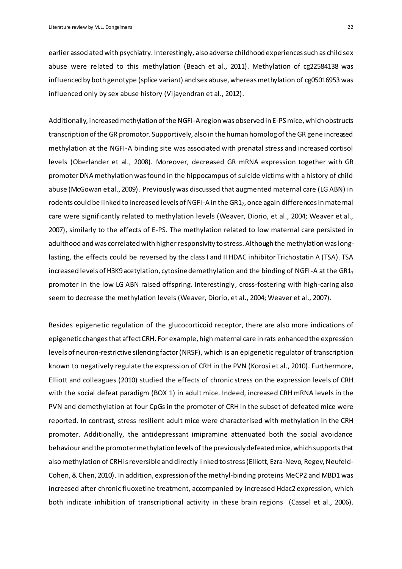earlierassociated with psychiatry. Interestingly, also adverse childhood experiences such as child sex abuse were related to this methylation (Beach et al., 2011). Methylation of cg22584138 was influenced by both genotype (splice variant) and sex abuse, whereas methylation of cg05016953 was influenced only by sex abuse history (Vijayendran et al., 2012).

Additionally, increased methylation of the NGFI-A region was observed in E-PS mice, which obstructs transcription of the GR promotor. Supportively, also in the human homolog of the GR gene increased methylation at the NGFI-A binding site was associated with prenatal stress and increased cortisol levels (Oberlander et al., 2008). Moreover, decreased GR mRNA expression together with GR promoter DNA methylation was found in the hippocampus of suicide victims with a history of child abuse (McGowan et al., 2009). Previously was discussed that augmented maternal care (LG ABN) in rodents could be linked to increased levels of NGFI-A in the GR17, once again differences in maternal care were significantly related to methylation levels (Weaver, Diorio, et al., 2004; Weaver et al., 2007), similarly to the effects of E-PS. The methylation related to low maternal care persisted in adulthood and was correlated with higher responsivity to stress. Although the methylation was longlasting, the effects could be reversed by the class I and II HDAC inhibitor Trichostatin A (TSA). TSA increased levels of H3K9 acetylation, cytosine demethylation and the binding of NGFI-A at the GR1<sub>7</sub> promoter in the low LG ABN raised offspring. Interestingly, cross-fostering with high-caring also seem to decrease the methylation levels (Weaver, Diorio, et al., 2004; Weaver et al., 2007).

Besides epigenetic regulation of the glucocorticoid receptor, there are also more indications of epigenetic changes that affect CRH. For example, high maternal care in rats enhanced the expression levels of neuron-restrictive silencing factor (NRSF), which is an epigenetic regulator of transcription known to negatively regulate the expression of CRH in the PVN (Korosi et al., 2010). Furthermore, Elliott and colleagues (2010) studied the effects of chronic stress on the expression levels of CRH with the social defeat paradigm (BOX 1) in adult mice. Indeed, increased CRH mRNA levels in the PVN and demethylation at four CpGs in the promoter of CRH in the subset of defeated mice were reported. In contrast, stress resilient adult mice were characterised with methylation in the CRH promoter. Additionally, the antidepressant imipramine attenuated both the social avoidance behaviour and the promoter methylation levels of the previously defeated mice, which supports that also methylation of CRHis reversible and directly linked to stress(Elliott, Ezra-Nevo, Regev, Neufeld-Cohen, & Chen, 2010). In addition, expression of the methyl-binding proteins MeCP2 and MBD1 was increased after chronic fluoxetine treatment, accompanied by increased Hdac2 expression, which both indicate inhibition of transcriptional activity in these brain regions (Cassel et al., 2006).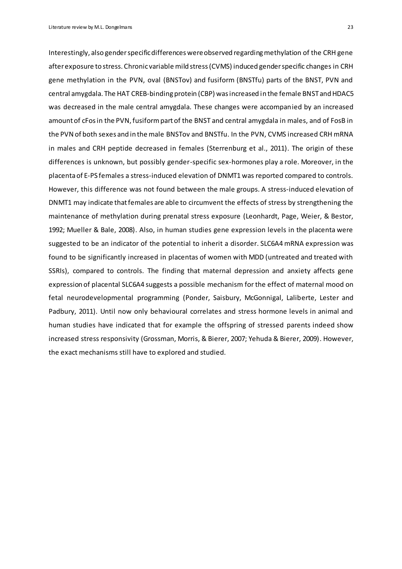Literature review by M.L. Dongelmans 23

Interestingly, also gender specific differences were observed regarding methylation of the CRH gene afterexposure to stress. Chronic variable mild stress (CVMS) induced gender specific changes in CRH gene methylation in the PVN, oval (BNSTov) and fusiform (BNSTfu) parts of the BNST, PVN and central amygdala. The HAT CREB-binding protein (CBP) was increased in the female BNST and HDAC5 was decreased in the male central amygdala. These changes were accompanied by an increased amount of cFos in the PVN, fusiform part of the BNST and central amygdala in males, and of FosB in the PVN of both sexes and in the male BNSTov and BNSTfu. In the PVN, CVMS increased CRH mRNA in males and CRH peptide decreased in females (Sterrenburg et al., 2011). The origin of these differences is unknown, but possibly gender-specific sex-hormones play a role. Moreover, in the placenta of E-PS females a stress-induced elevation of DNMT1 was reported compared to controls. However, this difference was not found between the male groups. A stress-induced elevation of DNMT1 may indicate that females are able to circumvent the effects of stress by strengthening the maintenance of methylation during prenatal stress exposure (Leonhardt, Page, Weier, & Bestor, 1992; Mueller & Bale, 2008). Also, in human studies gene expression levels in the placenta were suggested to be an indicator of the potential to inherit a disorder. SLC6A4 mRNA expression was found to be significantly increased in placentas of women with MDD (untreated and treated with SSRIs), compared to controls. The finding that maternal depression and anxiety affects gene expression of placental SLC6A4 suggests a possible mechanism for the effect of maternal mood on fetal neurodevelopmental programming (Ponder, Saisbury, McGonnigal, Laliberte, Lester and Padbury, 2011). Until now only behavioural correlates and stress hormone levels in animal and human studies have indicated that for example the offspring of stressed parents indeed show increased stress responsivity (Grossman, Morris, & Bierer, 2007; Yehuda & Bierer, 2009). However, the exact mechanisms still have to explored and studied.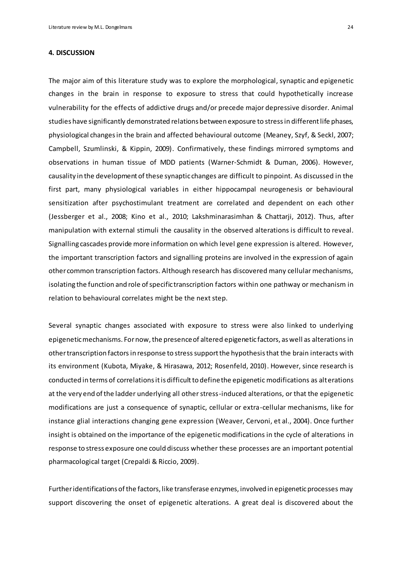#### <span id="page-23-0"></span>**4. DISCUSSION**

The major aim of this literature study was to explore the morphological, synaptic and epigenetic changes in the brain in response to exposure to stress that could hypothetically increase vulnerability for the effects of addictive drugs and/or precede major depressive disorder. Animal studies have significantly demonstrated relations between exposure to stress in different life phases, physiological changes in the brain and affected behavioural outcome (Meaney, Szyf, & Seckl, 2007; Campbell, Szumlinski, & Kippin, 2009). Confirmatively, these findings mirrored symptoms and observations in human tissue of MDD patients (Warner-Schmidt & Duman, 2006). However, causality in the development of these synaptic changes are difficult to pinpoint. As discussed in the first part, many physiological variables in either hippocampal neurogenesis or behavioural sensitization after psychostimulant treatment are correlated and dependent on each other (Jessberger et al., 2008; Kino et al., 2010; Lakshminarasimhan & Chattarji, 2012). Thus, after manipulation with external stimuli the causality in the observed alterations is difficult to reveal. Signalling cascades provide more information on which level gene expression is altered. However, the important transcription factors and signalling proteins are involved in the expression of again other common transcription factors. Although research has discovered many cellular mechanisms, isolating the function and role of specific transcription factors within one pathway or mechanism in relation to behavioural correlates might be the next step.

Several synaptic changes associated with exposure to stress were also linked to underlying epigenetic mechanisms. For now, the presence of altered epigenetic factors, as well as alterations in other transcription factorsin response to stress support the hypothesis that the brain interacts with its environment (Kubota, Miyake, & Hirasawa, 2012; Rosenfeld, 2010). However, since research is conducted in terms of correlations it is difficult to define the epigenetic modifications as alterations at the very end of the ladder underlying all other stress-induced alterations, or that the epigenetic modifications are just a consequence of synaptic, cellular or extra-cellular mechanisms, like for instance glial interactions changing gene expression (Weaver, Cervoni, et al., 2004). Once further insight is obtained on the importance of the epigenetic modifications in the cycle of alterations in response to stress exposure one could discuss whether these processes are an important potential pharmacological target (Crepaldi & Riccio, 2009).

Further identifications of the factors, like transferase enzymes, involved in epigenetic processes may support discovering the onset of epigenetic alterations. A great deal is discovered about the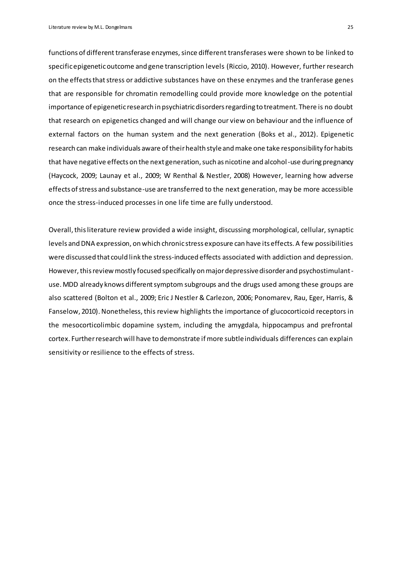functions of different transferase enzymes, since different transferases were shown to be linked to specific epigenetic outcome and gene transcription levels (Riccio, 2010). However, further research on the effects that stress or addictive substances have on these enzymes and the tranferase genes that are responsible for chromatin remodelling could provide more knowledge on the potential importance of epigenetic research in psychiatric disorders regarding to treatment. There is no doubt that research on epigenetics changed and will change our view on behaviour and the influence of external factors on the human system and the next generation (Boks et al., 2012). Epigenetic research can make individuals aware of their health style and make one take responsibility for habits that have negative effects on the next generation, such as nicotine and alcohol-use during pregnancy (Haycock, 2009; Launay et al., 2009; W Renthal & Nestler, 2008) However, learning how adverse effects of stress and substance-use are transferred to the next generation, may be more accessible once the stress-induced processes in one life time are fully understood.

Overall, this literature review provided a wide insight, discussing morphological, cellular, synaptic levels and DNA expression, on which chronic stress exposure can have its effects. A few possibilities were discussed that could link the stress-induced effects associated with addiction and depression. However, this review mostly focused specifically on major depressive disorder and psychostimulantuse. MDD already knows different symptom subgroups and the drugs used among these groups are also scattered (Bolton et al., 2009; Eric J Nestler & Carlezon, 2006; Ponomarev, Rau, Eger, Harris, & Fanselow, 2010). Nonetheless, this review highlights the importance of glucocorticoid receptors in the mesocorticolimbic dopamine system, including the amygdala, hippocampus and prefrontal cortex. Further research will have to demonstrate if more subtle individuals differences can explain sensitivity or resilience to the effects of stress.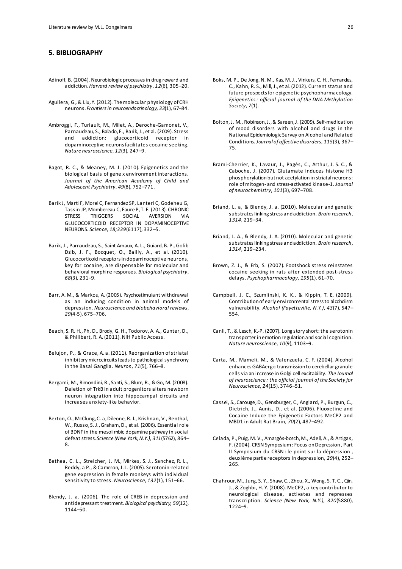#### <span id="page-25-0"></span>**5. BIBLIOGRAPHY**

- Adinoff, B. (2004). Neurobiologic processes in drug reward and addiction. *Harvard review of psychiatry*, *12*(6), 305–20.
- Aguilera, G., & Liu, Y. (2012). The molecular physiology of CRH neurons. *Frontiers in neuroendocrinology*, *33*(1), 67–84.
- Ambroggi, F., Turiault, M., Milet, A., Deroche-Gamonet, V., Parnaudeau, S., Balado, E., Barik, J., et al. (2009). Stress and addiction: glucocorticoid receptor in dopaminoceptive neurons facilitates cocaine seeking. *Nature neuroscience*, *12*(3), 247–9.
- Bagot, R. C., & Meaney, M. J. (2010). Epigenetics and the biological basis of gene x environment interactions. *Journal of the American Academy of Child and Adolescent Psychiatry*, *49*(8), 752–771.
- Barik J, Marti F, Morel C, Fernandez SP, Lanteri C, Godeheu G, Tassin JP, Mombereau C, Faure P, T. F. (2013). CHRONIC STRESS TRIGGERS SOCIAL AVERSION VIA GLUCOCORTICOID RECEPTOR IN DOPAMINOCEPTIVE NEURONS. *Science*, *18;339*(6117), 332–5.
- Barik, J., Parnaudeau, S., Saint Amaux, A. L., Guiard, B. P., Golib Dzib, J. F., Bocquet, O., Bailly, A., et al. (2010). Glucocorticoid receptors in dopaminoceptive neurons, key for cocaine, are dispensable for molecular and behavioral morphine responses. *Biological psychiatry*, *68*(3), 231–9.
- Barr, A. M., & Markou, A. (2005). Psychostimulant withdrawal as an inducing condition in animal models of depression. *Neuroscience and biobehavioral reviews*, *29*(4-5), 675–706.
- Beach, S. R. H., Ph, D., Brody, G. H., Todorov, A. A., Gunter, D., & Philibert, R. A. (2011). NIH Public Access.
- Belujon, P., & Grace, A. a. (2011). Reorganization of striatal inhibitory microcircuits leads to pathological synchrony in the Basal Ganglia. *Neuron*, *71*(5), 766–8.
- Bergami, M., Rimondini, R., Santi, S., Blum, R., & Go, M. (2008). Deletion of TrkB in adult progenitors alters newborn neuron integration into hippocampal circuits and increases anxiety-like behavior.
- Berton, O., McClung, C. a, Dileone, R. J., Krishnan, V., Renthal, W., Russo, S. J., Graham, D., et al. (2006). Essential role of BDNF in the mesolimbic dopamine pathway in social defeat stress. *Science (New York, N.Y.)*, *311*(5762), 864– 8.
- Bethea, C. L., Streicher, J. M., Mirkes, S. J., Sanchez, R. L., Reddy, a P., & Cameron, J. L. (2005). Serotonin-related gene expression in female monkeys with individual sensitivity to stress. *Neuroscience*, *132*(1), 151–66.
- Blendy, J. a. (2006). The role of CREB in depression and antidepressant treatment. *Biological psychiatry*, *59*(12), 1144–50.
- Boks, M. P., De Jong, N. M., Kas, M. J., Vinkers, C. H., Fernandes, C., Kahn, R. S., Mill, J., et al. (2012). Current status and future prospects for epigenetic psychopharmacology. *Epigenetics : official journal of the DNA Methylation Society*, *7*(1).
- Bolton, J. M., Robinson, J., & Sareen, J. (2009). Self-medication of mood disorders with alcohol and drugs in the National Epidemiologic Survey on Alcohol and Related Conditions. *Journal of affective disorders*, *115*(3), 367– 75.
- Brami-Cherrier, K., Lavaur, J., Pagès, C., Arthur, J. S. C., & Caboche, J. (2007). Glutamate induces histone H3 phosphorylation but not acetylation in striatal neurons: role of mitogen- and stress-activated kinase-1. *Journal of neurochemistry*, *101*(3), 697–708.
- Briand, L. a, & Blendy, J. a. (2010). Molecular and genetic substrates linking stress and addiction. *Brain research*, *1314*, 219–34.
- Briand, L. A., & Blendy, J. A. (2010). Molecular and genetic substrates linking stress and addiction. *Brain research*, *1314*, 219–234.
- Brown, Z. J., & Erb, S. (2007). Footshock stress reinstates cocaine seeking in rats after extended post-stress delays. *Psychopharmacology*, *195*(1), 61–70.
- Campbell, J. C., Szumlinski, K. K., & Kippin, T. E. (2009). Contribution of early environmental stress to alcoholism vulnerability. *Alcohol (Fayetteville, N.Y.)*, *43*(7), 547– 554.
- Canli, T., & Lesch, K.-P. (2007). Long story short: the serotonin transporter in emotion regulation and social cognition. *Nature neuroscience*, *10*(9), 1103–9.
- Carta, M., Mameli, M., & Valenzuela, C. F. (2004). Alcohol enhances GABAergic transmission to cerebellar granule cells via an increase in Golgi cell excitability. *The Journal of neuroscience : the official journal of the Society for Neuroscience*, *24*(15), 3746–51.
- Cassel, S., Carouge, D., Gensburger, C., Anglard, P., Burgun, C., Dietrich, J., Aunis, D., et al. (2006). Fluoxetine and Cocaine Induce the Epigenetic Factors MeCP2 and MBD1 in Adult Rat Brain, *70*(2), 487–492.
- Celada, P., Puig, M. V., Amargós-bosch, M., Adell, A., & Artigas, F. (2004). CRSN Symposium : Focus on Depression , Part II Symposium du CRSN : le point sur la dépression , deuxième partie receptors in depression, *29*(4), 252– 265.
- Chahrour, M., Jung, S. Y., Shaw, C., Zhou, X., Wong, S. T. C., Qin, J., & Zoghbi, H. Y. (2008). MeCP2, a key contributor to neurological disease, activates and represses transcription. *Science (New York, N.Y.)*, *320*(5880), 1224–9.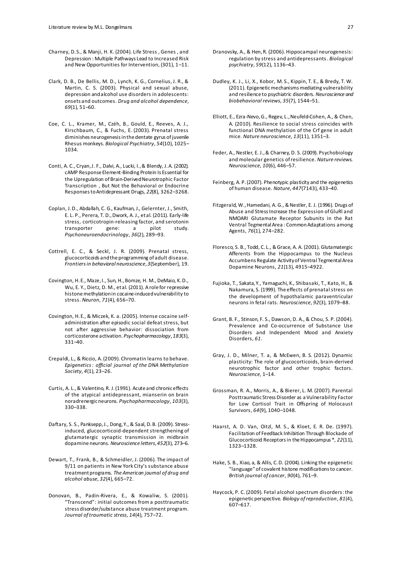- Charney, D. S., & Manji, H. K. (2004). Life Stress , Genes , and Depression : Multiple Pathways Lead to Increased Risk and New Opportunities for Intervention, (301), 1–11.
- Clark, D. B., De Bellis, M. D., Lynch, K. G., Cornelius, J. R., & Martin, C. S. (2003). Physical and sexual abuse, depression and alcohol use disorders in adolescents: onsets and outcomes. *Drug and alcohol dependence*, *69*(1), 51–60.
- Coe, C. L., Kramer, M., Czéh, B., Gould, E., Reeves, A. J., Kirschbaum, C., & Fuchs, E. (2003). Prenatal stress diminishes neurogenesis in the dentate gyrus of juvenile Rhesus monkeys. *Biological Psychiatry*, *54*(10), 1025– 1034.
- Conti, A. C., Cryan, J. F., Dalvi, A., Lucki, I., & Blendy, J. A. (2002). cAMP Response Element-Binding Protein Is Essential for the Upregulation of Brain-Derived Neurotrophic Factor Transcription , But Not the Behavioral or Endocrine Responses to Antidepressant Drugs, *22*(8), 3262–3268.
- Coplan, J. D., Abdallah, C. G., Kaufman, J., Gelernter, J., Smith, E. L. P., Perera, T. D., Dwork, A. J., et al. (2011). Early-life stress, corticotropin-releasing factor, and serotonin<br>transporter gene: a pilot study. transporter gene: a pilot study. *Psychoneuroendocrinology*, *36*(2), 289–93.
- Cottrell, E. C., & Seckl, J. R. (2009). Prenatal stress, glucocorticoids and the programming of adult disease. *Frontiers in behavioral neuroscience*, *3*(September), 19.
- Covington, H. E., Maze, I., Sun, H., Bomze, H. M., DeMaio, K. D., Wu, E. Y., Dietz, D. M., et al. (2011). A role for repressive histone methylation in cocaine-induced vulnerability to stress. *Neuron*, *71*(4), 656–70.
- Covington, H. E., & Miczek, K. a. (2005). Intense cocaine selfadministration after episodic social defeat stress, but not after aggressive behavior: dissociation from corticosterone activation. *Psychopharmacology*, *183*(3), 331–40.
- Crepaldi, L., & Riccio, A. (2009). Chromatin learns to behave. *Epigenetics : official journal of the DNA Methylation Society*, *4*(1), 23–26.
- Curtis, A. L., & Valentino, R. J. (1991). Acute and chronic effects of the atypical antidepressant, mianserin on brain noradrenergic neurons. *Psychopharmacology*, *103*(3), 330–338.
- Daftary, S. S., Panksepp, J., Dong, Y., & Saal, D. B. (2009). Stressinduced, glucocorticoid-dependent strengthening of glutamatergic synaptic transmission in midbrain dopamine neurons. *Neuroscience letters*, *452*(3), 273–6.
- Dewart, T., Frank, B., & Schmeidler, J. (2006). The impact of 9/11 on patients in New York City's substance abuse treatment programs. *The American journal of drug and alcohol abuse*, *32*(4), 665–72.
- Donovan, B., Padin-Rivera, E., & Kowaliw, S. (2001). "Transcend": initial outcomes from a posttraumatic stress disorder/substance abuse treatment program. *Journal of traumatic stress*, *14*(4), 757–72.
- Dranovsky, A., & Hen, R. (2006). Hippocampal neurogenesis: regulation by stress and antidepressants. *Biological psychiatry*, *59*(12), 1136–43.
- Dudley, K. J., Li, X., Kobor, M. S., Kippin, T. E., & Bredy, T. W. (2011). Epigenetic mechanisms mediating vulnerability and resilience to psychiatric disorders. *Neuroscience and biobehavioral reviews*, *35*(7), 1544–51.
- Elliott, E., Ezra-Nevo, G., Regev, L., Neufeld-Cohen, A., & Chen, A. (2010). Resilience to social stress coincides with functional DNA methylation of the Crf gene in adult mice. *Nature neuroscience*, *13*(11), 1351–3.
- Feder, A., Nestler, E. J., & Charney, D. S. (2009). Psychobiology and molecular genetics of resilience. *Nature reviews. Neuroscience*, *10*(6), 446–57.
- Feinberg, A. P. (2007). Phenotypic plasticity and the epigenetics of human disease. *Nature*, *447*(7143), 433–40.
- Fitzgerald, W., Hamedani, A. G., & Nestler, E. J. (1996). Drugs of Abuse and Stress Increase the Expression of GluRl and NMOARI Glutamate Receptor Subunits in the Rat Ventral Tegmental Area : Common Adaptations among Agents, *76*(1), 274–282.
- Floresco, S. B., Todd, C. L., & Grace, A. A. (2001). Glutamatergic Afferents from the Hippocampus to the Nucleus Accumbens Regulate Activity of Ventral Tegmental Area Dopamine Neurons, *21*(13), 4915–4922.
- Fujioka, T., Sakata, Y., Yamaguchi, K., Shibasaki, T., Kato, H., & Nakamura, S. (1999). The effects of prenatal stress on the development of hypothalamic paraventricular neurons in fetal rats. *Neuroscience*, *92*(3), 1079–88.
- Grant, B. F., Stinson, F. S., Dawson, D. A., & Chou, S. P. (2004). Prevalence and Co-occurrence of Substance Use Disorders and Independent Mood and Anxiety Disorders, *61*.
- Gray, J. D., Milner, T. a, & McEwen, B. S. (2012). Dynamic plasticity: The role of glucocorticoids, brain-derived neurotrophic factor and other trophic factors. *Neuroscience*, 1–14.
- Grossman, R. A., Morris, A., & Bierer, L. M. (2007). Parental Posttraumatic Stress Disorder as a Vulnerability Factor for Low Cortisol Trait in Offspring of Holocaust Survivors, *64*(9), 1040–1048.
- Haarst, A. D. Van, Oitzl, M. S., & Kloet, E. R. De. (1997). Facilitation of Feedback Inhibition Through Blockade of Glucocorticoid Receptors in the Hippocampus \*, *22*(11), 1323–1328.
- Hake, S. B., Xiao, a, & Allis, C. D. (2004). Linking the epigenetic "language" of covalent histone modifications to cancer. *British journal of cancer*, *90*(4), 761–9.
- Haycock, P. C. (2009). Fetal alcohol spectrum disorders: the epigenetic perspective. *Biology of reproduction*, *81*(4), 607–617.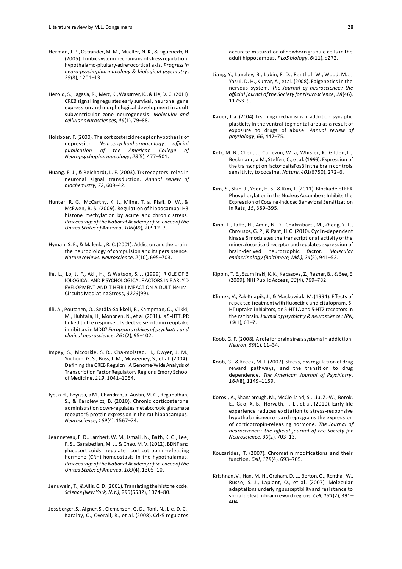- Herman, J. P., Ostrander, M. M., Mueller, N. K., & Figueiredo, H. (2005). Limbic system mechanisms of stress regulation: hypothalamo-pituitary-adrenocortical axis. *Progress in neuro-psychopharmacology & biological psychiatry*, *29*(8), 1201–13.
- Herold, S., Jagasia, R., Merz, K., Wassmer, K., & Lie, D. C. (2011). CREB signalling regulates early survival, neuronal gene expression and morphological development in adult subventricular zone neurogenesis. *Molecular and cellular neurosciences*, *46*(1), 79–88.
- Holsboer, F. (2000). The corticosteroid receptor hypothesis of depression. *Neuropsychopharmacology : official publication of the American College of Neuropsychopharmacology*, *23*(5), 477–501.
- Huang, E. J., & Reichardt, L. F. (2003). Trk receptors: roles in neuronal signal transduction. *Annual review of biochemistry*, *72*, 609–42.
- Hunter, R. G., McCarthy, K. J., Milne, T. a, Pfaff, D. W., & McEwen, B. S. (2009). Regulation of hippocampal H3 histone methylation by acute and chronic stress. *Proceedings of the National Academy of Sciences of the United States of America*, *106*(49), 20912–7.
- Hyman, S. E., & Malenka, R. C. (2001). Addiction and the brain: the neurobiology of compulsion and its persistence. *Nature reviews. Neuroscience*, *2*(10), 695–703.
- Ife, L., Lo, J. F., Akil, H., & Watson, S. J. (1999). R OLE OF B IOLOGICAL AND P SYCHOLOGICAL F ACTORS IN E ARLY D EVELOPMENT AND T HEIR I MPACT ON A DULT Neural Circuits Mediating Stress, *3223*(99).
- Illi, A., Poutanen, O., Setälä-Soikkeli, E., Kampman, O., Viikki, M., Huhtala, H., Mononen, N., et al. (2011). Is 5-HTTLPR linked to the response of selective serotonin reuptake inhibitors in MDD? *European archives of psychiatry and clinical neuroscience*, *261*(2), 95–102.
- Impey, S., Mccorkle, S. R., Cha-molstad, H., Dwyer, J. M., Yochum, G. S., Boss, J. M., Mcweeney, S., et al. (2004). Defining the CREB Regulon : A Genome-Wide Analysis of Transcription Factor Regulatory Regions Emory School of Medicine, *119*, 1041–1054.
- Iyo, a H., Feyissa, a M., Chandran, a, Austin, M. C., Regunathan, S., & Karolewicz, B. (2010). Chronic corticosterone administration down-regulates metabotropic glutamate receptor 5 protein expression in the rat hippocampus. *Neuroscience*, *169*(4), 1567–74.
- Jeanneteau, F. D., Lambert, W. M., Ismaili, N., Bath, K. G., Lee, F. S., Garabedian, M. J., & Chao, M. V. (2012). BDNF and glucocorticoids regulate corticotrophin-releasing hormone (CRH) homeostasis in the hypothalamus. *Proceedings of the National Academy of Sciences of the United States of America*, *109*(4), 1305–10.
- Jenuwein, T., & Allis, C. D. (2001). Translating the histone code. *Science (New York, N.Y.)*, *293*(5532), 1074–80.
- Jessberger, S., Aigner, S., Clemenson, G. D., Toni, N., Lie, D. C., Karalay, O., Overall, R., et al. (2008). Cdk5 regulates

accurate maturation of newborn granule cells in the adult hippocampus. *PLoS biology*, *6*(11), e272.

- Jiang, Y., Langley, B., Lubin, F. D., Renthal, W., Wood, M. a, Yasui, D. H., Kumar, A., et al. (2008). Epigenetics in the nervous system. *The Journal of neuroscience : the official journal of the Society for Neuroscience*, *28*(46), 11753–9.
- Kauer, J. a. (2004). Learning mechanisms in addiction: synaptic plasticity in the ventral tegmental area as a result of exposure to drugs of abuse. *Annual review of physiology*, *66*, 447–75.
- Kelz, M. B., Chen, J., Carlezon, W. a, Whisler, K., Gilden, L., Beckmann, a M., Steffen, C., et al. (1999). Expression of the transcription factor deltaFosB in the brain controls sensitivity to cocaine. *Nature*, *401*(6750), 272–6.
- Kim, S., Shin, J., Yoon, H. S., & Kim, J. (2011). Blockade of ERK Phosphorylation in the Nucleus Accumbens Inhibits the Expression of Cocaine-induced Behavioral Sensitization in Rats, *15*, 389–395.
- Kino, T., Jaffe, H., Amin, N. D., Chakrabarti, M., Zheng, Y.-L., Chrousos, G. P., & Pant, H. C. (2010). Cyclin-dependent kinase 5 modulates the transcriptional activity of the mineralocorticoid receptor and regulates expression of brain-derived neurotrophic factor. *Molecular endocrinology (Baltimore, Md.)*, *24*(5), 941–52.
- Kippin, T. E., Szumlinski, K. K., Kapasova, Z., Rezner, B., & See, E. (2009). NIH Public Access, *33*(4), 769–782.
- Klimek, V., Zak-Knapik, J., & Mackowiak, M. (1994). Effects of repeated treatment with fluoxetine and citalopram, 5- HT uptake inhibitors, on 5-HT1A and 5-HT2 receptors in the rat brain. *Journal of psychiatry & neuroscience : JPN*, *19*(1), 63–7.
- Koob, G. F. (2008). A role for brain stress systems in addiction. *Neuron*, *59*(1), 11–34.
- Koob, G., & Kreek, M. J. (2007). Stress, dysregulation of drug reward pathways, and the transition to drug dependence. *The American Journal of Psychiatry*, *164*(8), 1149–1159.
- Korosi, A., Shanabrough, M., McClelland, S., Liu, Z.-W., Borok, E., Gao, X.-B., Horvath, T. L., et al. (2010). Early-life experience reduces excitation to stress-responsive hypothalamic neurons and reprograms the expression of corticotropin-releasing hormone. *The Journal of neuroscience : the official journal of the Society for Neuroscience*, *30*(2), 703–13.
- Kouzarides, T. (2007). Chromatin modifications and their function. *Cell*, *128*(4), 693–705.
- Krishnan, V., Han, M.-H., Graham, D. L., Berton, O., Renthal, W., Russo, S. J., Laplant, Q., et al. (2007). Molecular adaptations underlying susceptibility and resistance to social defeat in brain reward regions. *Cell*, *131*(2), 391– 404.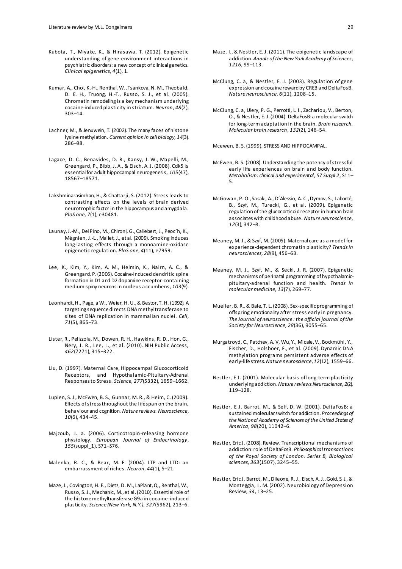- Kubota, T., Miyake, K., & Hirasawa, T. (2012). Epigenetic understanding of gene-environment interactions in psychiatric disorders: a new concept of clinical genetics. *Clinical epigenetics*, *4*(1), 1.
- Kumar, A., Choi, K.-H., Renthal, W., Tsankova, N. M., Theobald, D. E. H., Truong, H.-T., Russo, S. J., et al. (2005). Chromatin remodeling is a key mechanism underlying cocaine-induced plasticity in striatum. *Neuron*, *48*(2), 303–14.
- Lachner, M., & Jenuwein, T. (2002). The many faces of histone lysine methylation. *Current opinion in cell biology*, *14*(3), 286–98.
- Lagace, D. C., Benavides, D. R., Kansy, J. W., Mapelli, M., Greengard, P., Bibb, J. A., & Eisch, A. J. (2008). Cdk5 is essential for adult hippocampal neurogenesis, *105*(47), 18567–18571.
- Lakshminarasimhan, H., & Chattarji, S. (2012). Stress leads to contrasting effects on the levels of brain derived neurotrophic factor in the hippocampus and amygdala. *PloS one*, *7*(1), e30481.
- Launay, J.-M., Del Pino, M., Chironi, G., Callebert, J., Peoc'h, K., Mégnien, J.-L., Mallet, J., et al. (2009). Smoking induces long-lasting effects through a monoamine-oxidase epigenetic regulation. *PloS one*, *4*(11), e7959.
- Lee, K., Kim, Y., Kim, A. M., Helmin, K., Nairn, A. C., & Greengard, P. (2006). Cocaine-induced dendritic spine formation in D1 and D2 dopamine receptor-containing medium spiny neurons in nucleus accumbens, *103*(9).
- Leonhardt, H., Page, a W., Weier, H. U., & Bestor, T. H. (1992). A targeting sequence directs DNA methyltransferase to sites of DNA replication in mammalian nuclei. *Cell*, *71*(5), 865–73.
- Lister, R., Pelizzola, M., Dowen, R. H., Hawkins, R. D., Hon, G., Nery, J. R., Lee, L., et al. (2010). NIH Public Access, *462*(7271), 315–322.
- Liu, D. (1997). Maternal Care, Hippocampal Glucocorticoid Receptors, and Hypothalamic-Pituitary-Adrenal Responses to Stress. *Science*, *277*(5332), 1659–1662.
- Lupien, S. J., McEwen, B. S., Gunnar, M. R., & Heim, C. (2009). Effects of stress throughout the lifespan on the brain, behaviour and cognition. *Nature reviews. Neuroscience*, *10*(6), 434–45.
- Majzoub, J. a. (2006). Corticotropin-releasing hormone physiology. *European Journal of Endocrinology*, *155*(suppl\_1), S71–S76.
- Malenka, R. C., & Bear, M. F. (2004). LTP and LTD: an embarrassment of riches. *Neuron*, *44*(1), 5–21.
- Maze, I., Covington, H. E., Dietz, D. M., LaPlant, Q., Renthal, W., Russo, S. J., Mechanic, M., et al. (2010). Essential role of the histone methyltransferase G9a in cocaine-induced plasticity. *Science (New York, N.Y.)*, *327*(5962), 213–6.
- Maze, I., & Nestler, E. J. (2011). The epigenetic landscape of addiction. *Annals of the New York Academy of Sciences*, *1216*, 99–113.
- McClung, C. a, & Nestler, E. J. (2003). Regulation of gene expression and cocaine reward by CREB and DeltaFosB. *Nature neuroscience*, *6*(11), 1208–15.
- McClung, C. a, Ulery, P. G., Perrotti, L. I., Zachariou, V., Berton, O., & Nestler, E. J. (2004). DeltaFosB: a molecular switch for long-term adaptation in the brain. *Brain research. Molecular brain research*, *132*(2), 146–54.

Mcewen, B. S. (1999). STRESS AND HIPPOCAMPAL.

- McEwen, B. S. (2008). Understanding the potency of stressful early life experiences on brain and body function. *Metabolism: clinical and experimental*, *57 Suppl 2*, S11– 5.
- McGowan, P. O., Sasaki, A., D'Alessio, A. C., Dymov, S., Labonté, B., Szyf, M., Turecki, G., et al. (2009). Epigenetic regulation of the glucocorticoid receptor in human brain associates with childhood abuse. *Nature neuroscience*, *12*(3), 342–8.
- Meaney, M. J., & Szyf, M. (2005). Maternal care as a model for experience-dependent chromatin plasticity? *Trends in neurosciences*, *28*(9), 456–63.
- Meaney, M. J., Szyf, M., & Seckl, J. R. (2007). Epigenetic mechanisms of perinatal programming of hypothalamicpituitary-adrenal function and health. *Trends in molecular medicine*, *13*(7), 269–77.
- Mueller, B. R., & Bale, T. L. (2008). Sex-specific programming of offspring emotionality after stress early in pregnancy. *The Journal of neuroscience : the official journal of the Society for Neuroscience*, *28*(36), 9055–65.
- Murgatroyd, C., Patchev, A. V, Wu, Y., Micale, V., Bockmühl, Y., Fischer, D., Holsboer, F., et al. (2009). Dynamic DNA methylation programs persistent adverse effects of early-life stress. *Nature neuroscience*, *12*(12), 1559–66.
- Nestler, E J. (2001). Molecular basis of long-term plasticity underlying addiction. *Nature reviews.Neuroscience*, *2*(2), 119–128.
- Nestler, E J, Barrot, M., & Self, D. W. (2001). DeltaFosB: a sustained molecular switch for addiction. *Proceedings of the National Academy of Sciences of the United States of America*, *98*(20), 11042–6.
- Nestler, Eric J. (2008). Review. Transcriptional mechanisms of addiction: role of DeltaFosB. *Philosophical transactions of the Royal Society of London. Series B, Biological sciences*, *363*(1507), 3245–55.
- Nestler, Eric J, Barrot, M., Dileone, R. J., Eisch, A. J., Gold, S. J., & Monteggia, L. M. (2002). Neurobiology of Depression Review, *34*, 13–25.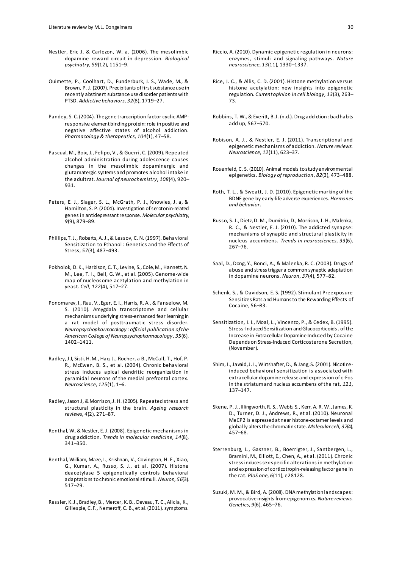- Nestler, Eric J, & Carlezon, W. a. (2006). The mesolimbic dopamine reward circuit in depression. *Biological psychiatry*, *59*(12), 1151–9.
- Ouimette, P., Coolhart, D., Funderburk, J. S., Wade, M., & Brown, P. J. (2007). Precipitants of first substance use in recently abstinent substance use disorder patients with PTSD. *Addictive behaviors*, *32*(8), 1719–27.
- Pandey, S. C. (2004). The gene transcription factor cyclic AMPresponsive element binding protein: role in positive and negative affective states of alcohol addiction. *Pharmacology & therapeutics*, *104*(1), 47–58.
- Pascual, M., Boix, J., Felipo, V., & Guerri, C. (2009). Repeated alcohol administration during adolescence causes changes in the mesolimbic dopaminergic and glutamatergic systems and promotes alcohol intake in the adult rat. *Journal of neurochemistry*, *108*(4), 920– 931.
- Peters, E. J., Slager, S. L., McGrath, P. J., Knowles, J. a, & Hamilton, S. P. (2004). Investigation of serotonin-related genes in antidepressant response. *Molecular psychiatry*, *9*(9), 879–89.
- Phillips, T. J., Roberts, A. J., & Lessov, C. N. (1997). Behavioral Sensitization to Ethanol : Genetics and the Effects of Stress, *57*(3), 487–493.
- Pokholok, D. K., Harbison, C. T., Levine, S., Cole, M., Hannett, N. M., Lee, T. I., Bell, G. W., et al. (2005). Genome-wide map of nucleosome acetylation and methylation in yeast. *Cell*, *122*(4), 517–27.
- Ponomarev, I., Rau, V., Eger, E. I., Harris, R. A., & Fanselow, M. S. (2010). Amygdala transcriptome and cellular mechanisms underlying stress-enhanced fear learning in a rat model of posttraumatic stress disorder. *Neuropsychopharmacology : official publication of the American College of Neuropsychopharmacology*, *35*(6), 1402–1411.
- Radley, J J, Sisti, H. M., Hao, J., Rocher, a B., McCall, T., Hof, P. R., McEwen, B. S., et al. (2004). Chronic behavioral stress induces apical dendritic reorganization in pyramidal neurons of the medial prefrontal cortex. *Neuroscience*, *125*(1), 1–6.
- Radley, Jason J, & Morrison, J. H. (2005). Repeated stress and structural plasticity in the brain. *Ageing research reviews*, *4*(2), 271–87.
- Renthal, W, & Nestler, E. J. (2008). Epigenetic mechanisms in drug addiction. *Trends in molecular medicine*, *14*(8), 341–350.
- Renthal, William, Maze, I., Krishnan, V., Covington, H. E., Xiao, G., Kumar, A., Russo, S. J., et al. (2007). Histone deacetylase 5 epigenetically controls behavioral adaptations to chronic emotional stimuli. *Neuron*, *56*(3), 517–29.
- Ressler, K. J., Bradley, B., Mercer, K. B., Deveau, T. C., Alicia, K., Gillespie, C. F., Nemeroff, C. B., et al. (2011). symptoms.
- Riccio, A. (2010). Dynamic epigenetic regulation in neurons: enzymes, stimuli and signaling pathways. *Nature neuroscience*, *13*(11), 1330–1337.
- Rice, J. C., & Allis, C. D. (2001). Histone methylation versus histone acetylation: new insights into epigenetic regulation. *Current opinion in cell biology*, *13*(3), 263– 73.
- Robbins, T. W., & Everitt, B. J. (n.d.). Drug addiction : bad habits add up, 567–570.
- Robison, A. J., & Nestler, E. J. (2011). Transcriptional and epigenetic mechanisms of addiction. *Nature reviews. Neuroscience*, *12*(11), 623–37.
- Rosenfeld, C. S. (2010). Animal models to study environmental epigenetics. *Biology of reproduction*, *82*(3), 473–488.
- Roth, T. L., & Sweatt, J. D. (2010). Epigenetic marking of the BDNF gene by early-life adverse experiences. *Hormones and behavior*.
- Russo, S. J., Dietz, D. M., Dumitriu, D., Morrison, J. H., Malenka, R. C., & Nestler, E. J. (2010). The addicted synapse: mechanisms of synaptic and structural plasticity in nucleus accumbens. *Trends in neurosciences*, *33*(6), 267–76.
- Saal, D., Dong, Y., Bonci, A., & Malenka, R. C. (2003). Drugs of abuse and stress trigger a common synaptic adaptation in dopamine neurons. *Neuron*, *37*(4), 577–82.
- Schenk, S., & Davidson, E. S. (1992). Stimulant Preexposure Sensitizes Rats and Humans to the Rewarding Effects of Cocaine, 56–83.
- Sensitization, I. I., Moal, L., Vincenzo, P., & Cedex, B. (1995). Stress-Induced Sensitization and Glucocorticoids . of the Increase in Extracellular Dopamine Induced by Cocaine Depends on Stress-Induced Corticosterone Secretion, (November).
- Shim, I., Javaid, J. I., Wirtshafter, D., & Jang, S. (2001). Nicotineinduced behavioral sensitization is associated with extracellular dopamine release and expression of c-Fos in the striatum and nucleus accumbens of the rat, *121*, 137–147.
- Skene, P. J., Illingworth, R. S., Webb, S., Kerr, A. R. W., James, K. D., Turner, D. J., Andrews, R., et al. (2010). Neuronal MeCP2 is expressed at near histone-octamer levels and globally alters the chromatin state. *Molecular cell*, *37*(4), 457–68.
- Sterrenburg, L., Gaszner, B., Boerrigter, J., Santbergen, L., Bramini, M., Elliott, E., Chen, A., et al. (2011). Chronic stress induces sex-specific alterations in methylation and expression of corticotropin-releasing factor gene in the rat. *PloS one*, *6*(11), e28128.
- Suzuki, M. M., & Bird, A. (2008). DNA methylation landscapes: provocative insights from epigenomics. *Nature reviews. Genetics*, *9*(6), 465–76.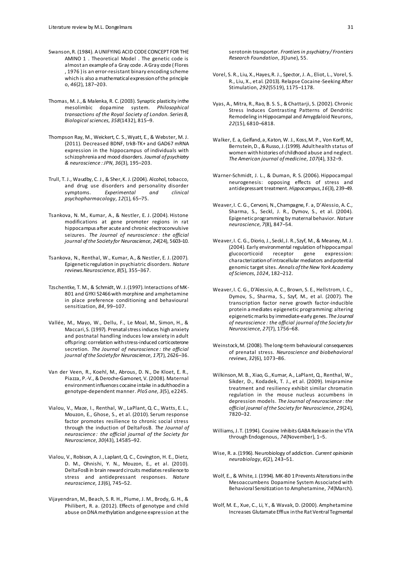- Swanson, R. (1984). A UNIFYING ACID CODE CONCEPT FOR THE AMINO 1 . Theoretical Model . The genetic code is almost an example of a Gray code . A Gray code ( Flores , 1976 ) is an error-resistant binary encoding scheme which is also a mathematical expression of the principle o, *46*(2), 187–203.
- Thomas, M. J., & Malenka, R. C. (2003). Synaptic plasticity in the mesolimbic dopamine system. *Philosophical transactions of the Royal Society of London. Series B, Biological sciences*, *358*(1432), 815–9.
- Thompson Ray, M., Weickert, C. S., Wyatt, E., & Webster, M. J. (2011). Decreased BDNF, trkB-TK+ and GAD67 mRNA expression in the hippocampus of individuals with schizophrenia and mood disorders. *Journal of psychiatry & neuroscience : JPN*, *36*(3), 195–203.
- Trull, T. J., Waudby, C. J., & Sher, K. J. (2004). Alcohol, tobacco, and drug use disorders and personality disorder symptoms. *Experimental and clinical psychopharmacology*, *12*(1), 65–75.
- Tsankova, N. M., Kumar, A., & Nestler, E. J. (2004). Histone modifications at gene promoter regions in rat hippocampus after acute and chronic electroconvulsive seizures. *The Journal of neuroscience : the official journal of the Society for Neuroscience*, *24*(24), 5603–10.
- Tsankova, N., Renthal, W., Kumar, A., & Nestler, E. J. (2007). Epigenetic regulation in psychiatric disorders. *Nature reviews.Neuroscience*, *8*(5), 355–367.
- Tzschentke, T. M., & Schmidt, W. J. (1997). Interactions of MK-801 and GYKI 52466 with morphine and amphetamine in place preference conditioning and behavioural sensitization, *84*, 99–107.
- Vallée, M., Mayo, W., Dellu, F., Le Moal, M., Simon, H., & Maccari, S. (1997). Prenatal stress induces high anxiety and postnatal handling induces low anxiety in adult offspring: correlation with stress-induced corticosterone secretion. *The Journal of neuroscience : the official journal of the Society for Neuroscience*, *17*(7), 2626–36.
- Van der Veen, R., Koehl, M., Abrous, D. N., De Kloet, E. R., Piazza, P.-V., & Deroche-Gamonet, V. (2008). Maternal environment influences cocaine intake in adulthood in a genotype-dependent manner. *PloS one*, *3*(5), e2245.
- Vialou, V., Maze, I., Renthal, W., LaPlant, Q. C., Watts, E. L., Mouzon, E., Ghose, S., et al. (2010). Serum response factor promotes resilience to chronic social stress through the induction of DeltaFosB. *The Journal of neuroscience : the official journal of the Society for Neuroscience*, *30*(43), 14585–92.
- Vialou, V., Robison, A. J., Laplant, Q. C., Covington, H. E., Dietz, D. M., Ohnishi, Y. N., Mouzon, E., et al. (2010). DeltaFosB in brain reward circuits mediates resilience to stress and antidepressant responses. *Nature neuroscience*, *13*(6), 745–52.
- Vijayendran, M., Beach, S. R. H., Plume, J. M., Brody, G. H., & Philibert, R. a. (2012). Effects of genotype and child abuse on DNA methylation and gene expression at the

serotonin transporter. *Frontiers in psychiatry / Frontiers Research Foundation*, *3*(June), 55.

- Vorel, S. R., Liu, X., Hayes, R. J., Spector, J. A., Eliot, L., Vorel, S. R., Liu, X., et al. (2013). Relapse Cocaine-Seeking After Stimulation, *292*(5519), 1175–1178.
- Vyas, A., Mitra, R., Rao, B. S. S., & Chattarji, S. (2002). Chronic Stress Induces Contrasting Patterns of Dendritic Remodeling in Hippocampal and Amygdaloid Neurons, *22*(15), 6810–6818.
- Walker, E. a, Gelfand, a, Katon, W. J., Koss, M. P., Von Korff, M., Bernstein, D., & Russo, J. (1999). Adult health status of women with histories of childhood abuse and neglect. *The American journal of medicine*, *107*(4), 332–9.
- Warner-Schmidt, J. L., & Duman, R. S. (2006). Hippocampal neurogenesis: opposing effects of stress and antidepressant treatment. *Hippocampus*, *16*(3), 239–49.
- Weaver, I. C. G., Cervoni, N., Champagne, F. a, D'Alessio, A. C., Sharma, S., Seckl, J. R., Dymov, S., et al. (2004). Epigenetic programming by maternal behavior. *Nature neuroscience*, *7*(8), 847–54.
- Weaver, I. C. G., Diorio, J., Seckl, J. R., Szyf, M., & Meaney, M. J. (2004). Early environmental regulation of hippocampal glucocorticoid characterization of intracellular mediators and potential genomic target sites. *Annals of the New York Academy of Sciences*, *1024*, 182–212.
- Weaver, I. C. G., D'Alessio, A. C., Brown, S. E., Hellstrom, I. C., Dymov, S., Sharma, S., Szyf, M., et al. (2007). The transcription factor nerve growth factor-inducible protein a mediates epigenetic programming: altering epigenetic marks by immediate-early genes. *The Journal of neuroscience : the official journal of the Society for Neuroscience*, *27*(7), 1756–68.
- Weinstock, M. (2008). The long-term behavioural consequences of prenatal stress. *Neuroscience and biobehavioral reviews*, *32*(6), 1073–86.
- Wilkinson, M. B., Xiao, G., Kumar, A., LaPlant, Q., Renthal, W., Sikder, D., Kodadek, T. J., et al. (2009). Imipramine treatment and resiliency exhibit similar chromatin regulation in the mouse nucleus accumbens in depression models. *The Journal of neuroscience : the official journal of the Society for Neuroscience*, *29*(24), 7820–32.
- Williams, J. T. (1994). Cocaine Inhibits GABA Release in the VTA through Endogenous, *74*(November), 1–5.
- Wise, R. a. (1996). Neurobiology of addiction. *Current opinion in neurobiology*, *6*(2), 243–51.
- Wolf, E., & White, J. (1994). MK-80 1 Prevents Alterations in the Mesoaccumbens Dopamine System Associated with Behavioral Sensitization to Amphetamine, *74*(March).
- Wolf, M. E., Xue, C., Li, Y., & Wavak, D. (2000). Amphetamine Increases Glutamate Efflux in the Rat Ventral Tegmental